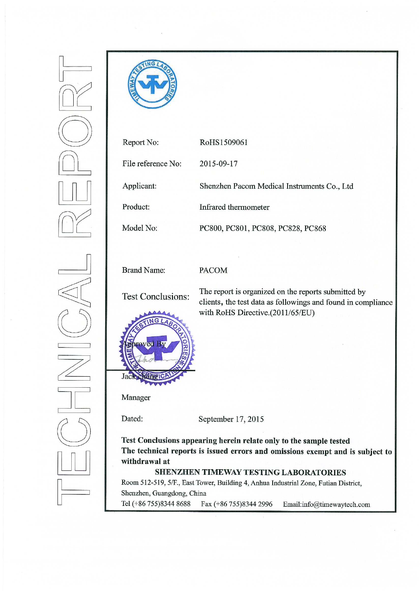

| Report No:         | RoHS1509061                                 |
|--------------------|---------------------------------------------|
| File reference No: | 2015-09-17                                  |
| Applicant:         | Shenzhen Pacom Medical Instruments Co., Ltd |
| Product:           | Infrared thermometer                        |
| Model No:          | PC800, PC801, PC808, PC828, PC868           |

**Brand Name:** 

# **PACOM**

**Test Conclusions:** 



The report is organized on the reports submitted by clients, the test data as followings and found in compliance with RoHS Directive.(2011/65/EU)

Manager

Dated:

September 17, 2015

Test Conclusions appearing herein relate only to the sample tested The technical reports is issued errors and omissions exempt and is subject to withdrawal at

# SHENZHEN TIMEWAY TESTING LABORATORIES

Room 512-519, 5/F., East Tower, Building 4, Anhua Industrial Zone, Futian District, Shenzhen, Guangdong, China Tel (+86 755)8344 8688 Fax (+86 755)8344 2996 Email:info@timewaytech.com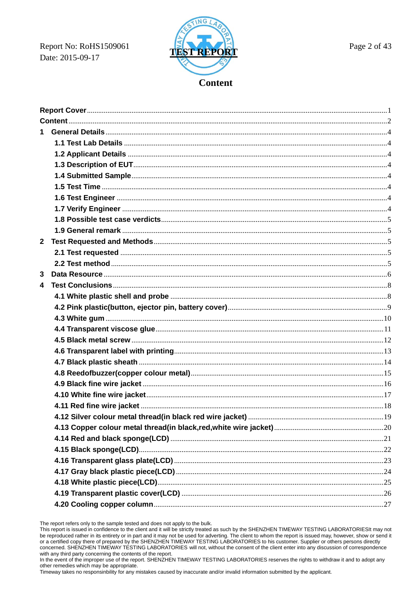Report No: RoHS1509061 Date: 2015-09-17



| $\mathbf{2}$ |  |
|--------------|--|
|              |  |
|              |  |
| 3            |  |
| 4            |  |
|              |  |
|              |  |
|              |  |
|              |  |
|              |  |
|              |  |
|              |  |
|              |  |
|              |  |
|              |  |
|              |  |
|              |  |
|              |  |
|              |  |
|              |  |
|              |  |
|              |  |
|              |  |
|              |  |
|              |  |

The report refers only to the sample tested and does not apply to the bulk.

This report is issued in confidence to the client and it will be strictly treated as such by the SHENZHEN TIMEWAY TESTING LABORATORIESIt may not be reproduced rather in its entirety or in part and it may not be used for adverting. The client to whom the report is issued may, however, show or send it or a certified copy there of prepared by the SHENZHEN TIMEWAY TESTING LABORATORIES to his customer. Supplier or others persons directly concerned. SHENZHEN TIMEWAY TESTING LABORATORIES will not, without the consent of the client enter into any discussion of correspondence with any third party concerning the contents of the report.

In the event of the improper use of the report. SHENZHEN TIMEWAY TESTING LABORATORIES reserves the rights to withdraw it and to adopt any other remedies which may be appropriate.<br>Timeway takes no responsibility for any mistakes caused by inaccurate and/or invalid information submitted by the applicant.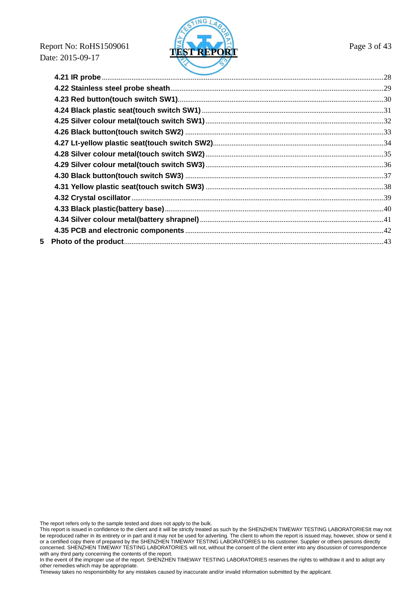**Report No: RoHS1509061 Page 3 of 43** Date: 2015-09-17



The report refers only to the sample tested and does not apply to the bulk.

This report is issued in confidence to the client and it will be strictly treated as such by the SHENZHEN TIMEWAY TESTING LABORATORIESIt may not be reproduced rather in its entirety or in part and it may not be used for adverting. The client to whom the report is issued may, however, show or send it or a certified copy there of prepared by the SHENZHEN TIMEWAY TESTING LABORATORIES to his customer. Supplier or others persons directly concerned. SHENZHEN TIMEWAY TESTING LABORATORIES will not, without the consent of the client enter into any discussion of correspondence with any third party concerning the contents of the report.

In the event of the improper use of the report. SHENZHEN TIMEWAY TESTING LABORATORIES reserves the rights to withdraw it and to adopt any other remedies which may be appropriate.

Timeway takes no responsinbility for any mistakes caused by inaccurate and/or invalid information submitted by the applicant.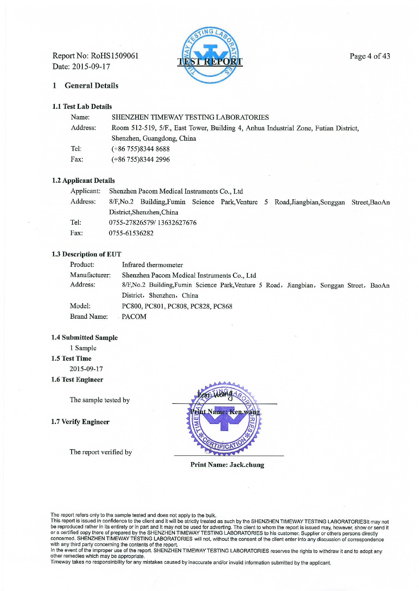Report No: RoHS1509061 Date: 2015-09-17



#### **General Details**  $\mathbf{1}$

# 1.1 Test Lab Details

| SHENZHEN TIMEWAY TESTING LABORATORIES                                               |
|-------------------------------------------------------------------------------------|
| Room 512-519, 5/F., East Tower, Building 4, Anhua Industrial Zone, Futian District, |
| Shenzhen, Guangdong, China                                                          |
| $(+86755)83448688$                                                                  |
| $(+86755)83442996$                                                                  |
|                                                                                     |

# 1.2 Applicant Details

| Applicant: | Shenzhen Pacom Medical Instruments Co., Ltd                                              |  |  |  |  |  |
|------------|------------------------------------------------------------------------------------------|--|--|--|--|--|
| Address:   | 8/F, No.2 Building, Fumin Science Park, Venture 5 Road, Jiangbian, Songgan Street, BaoAn |  |  |  |  |  |
|            | District, Shenzhen, China                                                                |  |  |  |  |  |
| Tel:       | 0755-27826579/13632627676                                                                |  |  |  |  |  |
| Fax:       | 0755-61536282                                                                            |  |  |  |  |  |

# 1.3 Description of EUT

| Product:           | Infrared thermometer                                                                  |
|--------------------|---------------------------------------------------------------------------------------|
| Manufacturer:      | Shenzhen Pacom Medical Instruments Co., Ltd                                           |
| Address:           | 8/F,No.2 Building,Fumin Science Park,Venture 5 Road, Jiangbian, Songgan Street, BaoAn |
|                    | District, Shenzhen, China                                                             |
| Model:             | PC800, PC801, PC808, PC828, PC868                                                     |
| <b>Brand Name:</b> | - PACOM                                                                               |

#### **1.4 Submitted Sample**

1 Sample

# 1.5 Test Time

2015-09-17

1.6 Test Engineer

The sample tested by

1.7 Verify Engineer

The report verified by



**Print Name: Jack.chung** 

The report refers only to the sample tested and does not apply to the bulk.<br>This report is issued in confidence to the client and it will be strictly treated as such by the SHENZHEN TIMEWAY TESTING LABORATORIESIt may not<br>b with any third party concerning the contents of the report.

In the event of the improper use of the report. SHENZHEN TIMEWAY TESTING LABORATORIES reserves the rights to withdraw it and to adopt any other remedies which may be appropriate.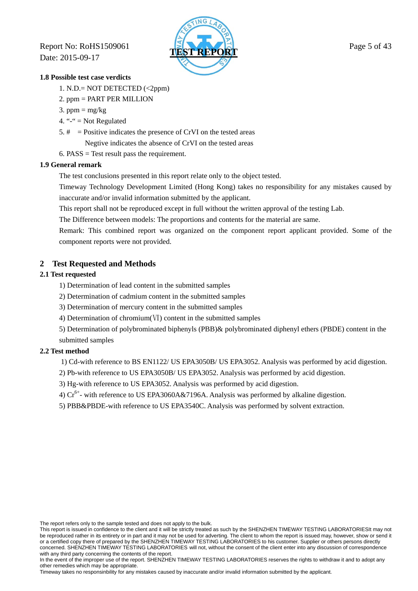**Report No: RoHS1509061 TEST Report No: RoHS1509061 Page 5 of 43** Date: 2015-09-17



# **1.8 Possible test case verdicts**

- 1. N.D.= NOT DETECTED (<2ppm)
- 2. ppm = PART PER MILLION
- 3. ppm =  $mg/kg$
- 4. " $-$ " = Not Regulated
- 5.  $\#$  = Positive indicates the presence of CrVI on the tested areas Negtive indicates the absence of CrVI on the tested areas
- 6. PASS  $=$  Test result pass the requirement.

# **1.9 General remark**

The test conclusions presented in this report relate only to the object tested.

 Timeway Technology Development Limited (Hong Kong) takes no responsibility for any mistakes caused by inaccurate and/or invalid information submitted by the applicant.

This report shall not be reproduced except in full without the written approval of the testing Lab.

The Difference between models: The proportions and contents for the material are same.

 Remark: This combined report was organized on the component report applicant provided. Some of the component reports were not provided.

# **2 Test Requested and Methods**

# **2.1 Test requested**

- 1) Determination of lead content in the submitted samples
- 2) Determination of cadmium content in the submitted samples
- 3) Determination of mercury content in the submitted samples
- 4) Determination of chromium(Ⅵ) content in the submitted samples

5) Determination of polybrominated biphenyls (PBB)& polybrominated diphenyl ethers (PBDE) content in the submitted samples

# **2.2 Test method**

1) Cd-with reference to BS EN1122/ US EPA3050B/ US EPA3052. Analysis was performed by acid digestion.

- 2) Pb-with reference to US EPA3050B/ US EPA3052. Analysis was performed by acid digestion.
- 3) Hg-with reference to US EPA3052. Analysis was performed by acid digestion.
- 4)  $Cr^{6+}$  with reference to US EPA3060A&7196A. Analysis was performed by alkaline digestion.
- 5) PBB&PBDE-with reference to US EPA3540C. Analysis was performed by solvent extraction.

The report refers only to the sample tested and does not apply to the bulk.

This report is issued in confidence to the client and it will be strictly treated as such by the SHENZHEN TIMEWAY TESTING LABORATORIESIt may not be reproduced rather in its entirety or in part and it may not be used for adverting. The client to whom the report is issued may, however, show or send it or a certified copy there of prepared by the SHENZHEN TIMEWAY TESTING LABORATORIES to his customer. Supplier or others persons directly concerned. SHENZHEN TIMEWAY TESTING LABORATORIES will not, without the consent of the client enter into any discussion of correspondence with any third party concerning the contents of the report.

In the event of the improper use of the report. SHENZHEN TIMEWAY TESTING LABORATORIES reserves the rights to withdraw it and to adopt any other remedies which may be appropriate.

Timeway takes no responsinbility for any mistakes caused by inaccurate and/or invalid information submitted by the applicant.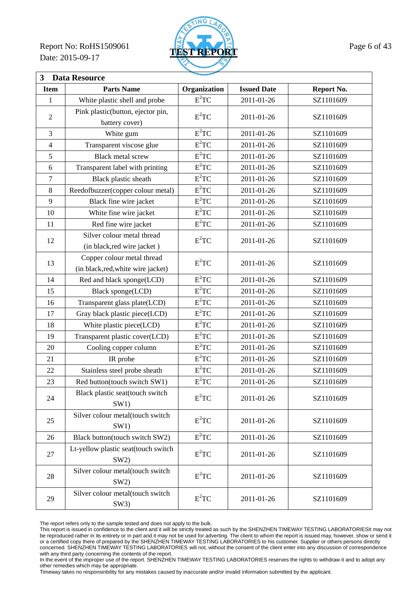Report No: RoHS1509061 **TEST REPORT** Page 6 of 43 Date: 2015-09-17



| 3<br><b>Data Resource</b> |                                                                  |                        |                    |            |  |
|---------------------------|------------------------------------------------------------------|------------------------|--------------------|------------|--|
| <b>Item</b>               | <b>Parts Name</b>                                                | Organization           | <b>Issued Date</b> | Report No. |  |
| 1                         | White plastic shell and probe                                    | $E^2TC$                | 2011-01-26         | SZ1101609  |  |
|                           | Pink plastic(button, ejector pin,                                |                        |                    |            |  |
| $\sqrt{2}$                | battery cover)                                                   | $E^2TC$                | 2011-01-26         | SZ1101609  |  |
| 3                         | White gum                                                        | $E^2TC$                | 2011-01-26         | SZ1101609  |  |
| $\overline{4}$            | Transparent viscose glue                                         | $E^2TC$                | 2011-01-26         | SZ1101609  |  |
| 5                         | <b>Black metal screw</b>                                         | $E^2TC$                | 2011-01-26         | SZ1101609  |  |
| 6                         | Transparent label with printing                                  | $E^2TC$                | 2011-01-26         | SZ1101609  |  |
| 7                         | Black plastic sheath                                             | $E^2TC$                | 2011-01-26         | SZ1101609  |  |
| $\,8\,$                   | Reedofbuzzer(copper colour metal)                                | $E^2TC$                | 2011-01-26         | SZ1101609  |  |
| 9                         | Black fine wire jacket                                           | $E^2TC$                | 2011-01-26         | SZ1101609  |  |
| 10                        | White fine wire jacket                                           | $E^2TC$                | 2011-01-26         | SZ1101609  |  |
| 11                        | Red fine wire jacket                                             | $E^2TC$                | 2011-01-26         | SZ1101609  |  |
| 12                        | Silver colour metal thread<br>(in black, red wire jacket)        | $\mbox{E}^2 \mbox{TC}$ | 2011-01-26         | SZ1101609  |  |
| 13                        | Copper colour metal thread<br>(in black, red, white wire jacket) | $E^2TC$                | 2011-01-26         | SZ1101609  |  |
| 14                        | Red and black sponge(LCD)                                        | $E^2TC$                | 2011-01-26         | SZ1101609  |  |
| 15                        | Black sponge(LCD)                                                | $E^2TC$                | 2011-01-26         | SZ1101609  |  |
| 16                        | Transparent glass plate(LCD)                                     | $E^2TC$                | 2011-01-26         | SZ1101609  |  |
| 17                        | Gray black plastic piece(LCD)                                    | $E^2TC$                | 2011-01-26         | SZ1101609  |  |
| 18                        | White plastic piece(LCD)                                         | $E^2TC$                | 2011-01-26         | SZ1101609  |  |
| 19                        | Transparent plastic cover(LCD)                                   | $E^2TC$                | 2011-01-26         | SZ1101609  |  |
| 20                        | Cooling copper column                                            | $E^2TC$                | 2011-01-26         | SZ1101609  |  |
| 21                        | IR probe                                                         | $E^2TC$                | 2011-01-26         | SZ1101609  |  |
| 22                        | Stainless steel probe sheath                                     | $E^2TC$                | 2011-01-26         | SZ1101609  |  |
| 23                        | Red button(touch switch SW1)                                     | $E^2TC$                | 2011-01-26         | SZ1101609  |  |
| 24                        | Black plastic seat(touch switch<br>SW1)                          | $E^2TC$                | 2011-01-26         | SZ1101609  |  |
| 25                        | Silver colour metal(touch switch<br>SW1)                         | $E^2TC$                | 2011-01-26         | SZ1101609  |  |
| 26                        | Black button(touch switch SW2)                                   | $E^2TC$                | 2011-01-26         | SZ1101609  |  |
| 27                        | Lt-yellow plastic seat(touch switch<br>SW2)                      | $E^2TC$                | 2011-01-26         | SZ1101609  |  |
| 28                        | Silver colour metal(touch switch<br>SW2)                         | $E^2TC$                | 2011-01-26         | SZ1101609  |  |
| 29                        | Silver colour metal(touch switch<br>SW3)                         | $E^2TC$                | 2011-01-26         | SZ1101609  |  |

The report refers only to the sample tested and does not apply to the bulk.

This report is issued in confidence to the client and it will be strictly treated as such by the SHENZHEN TIMEWAY TESTING LABORATORIESIt may not be reproduced rather in its entirety or in part and it may not be used for adverting. The client to whom the report is issued may, however, show or send it or a certified copy there of prepared by the SHENZHEN TIMEWAY TESTING LABORATORIES to his customer. Supplier or others persons directly concerned. SHENZHEN TIMEWAY TESTING LABORATORIES will not, without the consent of the client enter into any discussion of correspondence with any third party concerning the contents of the report.

In the event of the improper use of the report. SHENZHEN TIMEWAY TESTING LABORATORIES reserves the rights to withdraw it and to adopt any other remedies which may be appropriate.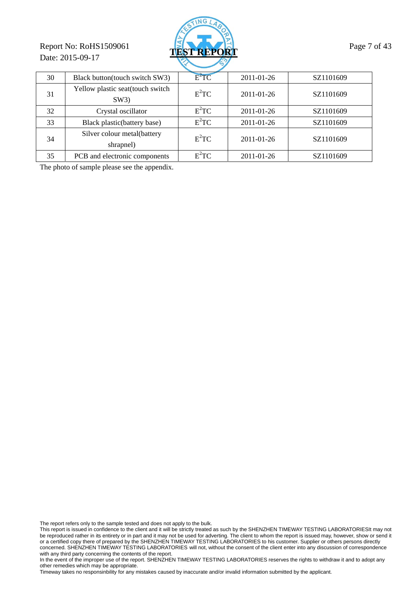# Report No: RoHS1509061 **TEST REPORT** Page 7 of 43 Date: 2015-09-17



| 30 | Black button(touch switch SW3)           | $E^2TC$ | 2011-01-26 | SZ1101609 |  |  |
|----|------------------------------------------|---------|------------|-----------|--|--|
| 31 | Yellow plastic seat(touch switch<br>SW3) | $E^2TC$ | 2011-01-26 | SZ1101609 |  |  |
| 32 | Crystal oscillator                       | $E^2TC$ | 2011-01-26 | SZ1101609 |  |  |
| 33 | Black plastic (battery base)             | $E^2TC$ | 2011-01-26 | SZ1101609 |  |  |
| 34 | Silver colour metal(battery<br>shrapnel) | $E^2TC$ | 2011-01-26 | SZ1101609 |  |  |
| 35 | PCB and electronic components            | $E^2TC$ | 2011-01-26 | SZ1101609 |  |  |

The photo of sample please see the appendix.

The report refers only to the sample tested and does not apply to the bulk.

This report is issued in confidence to the client and it will be strictly treated as such by the SHENZHEN TIMEWAY TESTING LABORATORIESIt may not be reproduced rather in its entirety or in part and it may not be used for adverting. The client to whom the report is issued may, however, show or send it or a certified copy there of prepared by the SHENZHEN TIMEWAY TESTING LABORATORIES to his customer. Supplier or others persons directly concerned. SHENZHEN TIMEWAY TESTING LABORATORIES will not, without the consent of the client enter into any discussion of correspondence with any third party concerning the contents of the report.

In the event of the improper use of the report. SHENZHEN TIMEWAY TESTING LABORATORIES reserves the rights to withdraw it and to adopt any other remedies which may be appropriate.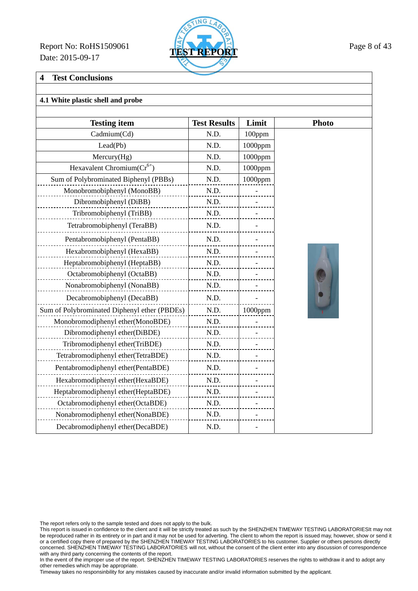Report No: RoHS1509061 **TEST REPORT** Page 8 of 43 Date: 2015-09-17



# **4 Test Conclusions**

# **4.1 White plastic shell and probe**

| <b>Testing item</b>                          | <b>Test Results</b> | Limit      | <b>Photo</b> |
|----------------------------------------------|---------------------|------------|--------------|
| Cadmium(Cd)                                  | N.D.                | 100ppm     |              |
| Lead(Pb)                                     | N.D.                | $1000$ ppm |              |
| Mercury(Hg)                                  | N.D.                | $1000$ ppm |              |
| Hexavalent Chromium( $Cr^{6+}$ )             | N.D.                | 1000ppm    |              |
| Sum of Polybrominated Biphenyl (PBBs)        | N.D.                | 1000ppm    |              |
| Monobromobiphenyl (MonoBB)                   | N.D.                |            |              |
| Dibromobiphenyl (DiBB)                       | N.D.                |            |              |
| Tribromobiphenyl (TriBB)                     | N.D.                |            |              |
| Tetrabromobiphenyl (TeraBB)                  | N.D.                |            |              |
| Pentabromobiphenyl (PentaBB)                 | N.D.                |            |              |
| Hexabromobiphenyl (HexaBB)                   | N.D.                |            |              |
| Heptabromobiphenyl (HeptaBB)                 | N.D.                |            |              |
| Octabromobiphenyl (OctaBB)                   | N.D.                |            |              |
| Nonabromobiphenyl (NonaBB)                   | N.D.                |            |              |
| Decabromobiphenyl (DecaBB)                   | N.D.                |            |              |
| Sum of Polybrominated Diphenyl ether (PBDEs) | N.D.                | 1000ppm    |              |
| Monobromodiphenyl ether(MonoBDE)             | N.D.                |            |              |
| Dibromodiphenyl ether(DiBDE)                 | N.D.                |            |              |
| Tribromodiphenyl ether(TriBDE)               | N.D.                |            |              |
| Tetrabromodiphenyl ether(TetraBDE)           | N.D.                |            |              |
| Pentabromodiphenyl ether(PentaBDE)           | N.D.                |            |              |
| Hexabromodiphenyl ether(HexaBDE)             | N.D.                |            |              |
| Heptabromodiphenyl ether(HeptaBDE)           | N.D.                |            |              |
| Octabromodiphenyl ether(OctaBDE)             | N.D.                |            |              |
| Nonabromodiphenyl ether(NonaBDE)             | N.D.                |            |              |
| Decabromodiphenyl ether(DecaBDE)             | N.D.                |            |              |

The report refers only to the sample tested and does not apply to the bulk.

This report is issued in confidence to the client and it will be strictly treated as such by the SHENZHEN TIMEWAY TESTING LABORATORIESIt may not be reproduced rather in its entirety or in part and it may not be used for adverting. The client to whom the report is issued may, however, show or send it or a certified copy there of prepared by the SHENZHEN TIMEWAY TESTING LABORATORIES to his customer. Supplier or others persons directly concerned. SHENZHEN TIMEWAY TESTING LABORATORIES will not, without the consent of the client enter into any discussion of correspondence with any third party concerning the contents of the report.

In the event of the improper use of the report. SHENZHEN TIMEWAY TESTING LABORATORIES reserves the rights to withdraw it and to adopt any other remedies which may be appropriate.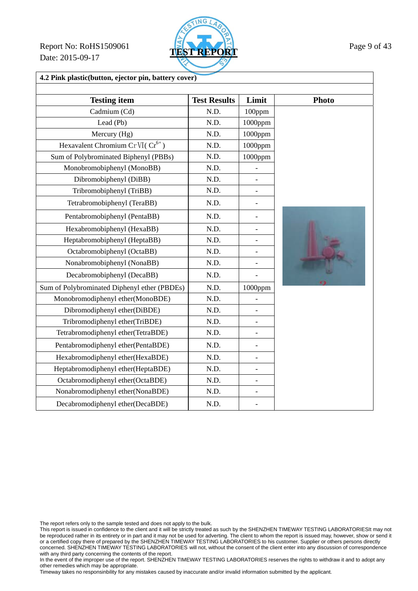Report No: RoHS1509061 **TEST REPORT** Page 9 of 43 Date: 2015-09-17



| 4.2 Pink plastic(button, ejector pin, battery cover) |                     |                          |              |  |
|------------------------------------------------------|---------------------|--------------------------|--------------|--|
| <b>Testing item</b>                                  | <b>Test Results</b> | Limit                    | <b>Photo</b> |  |
| Cadmium (Cd)                                         | N.D.                | 100ppm                   |              |  |
| Lead (Pb)                                            | N.D.                | 1000ppm                  |              |  |
| Mercury (Hg)                                         | N.D.                | 1000ppm                  |              |  |
| Hexavalent Chromium Cr VI( $Cr^{6+}$ )               | N.D.                | 1000ppm                  |              |  |
| Sum of Polybrominated Biphenyl (PBBs)                | N.D.                | 1000ppm                  |              |  |
| Monobromobiphenyl (MonoBB)                           | N.D.                |                          |              |  |
| Dibromobiphenyl (DiBB)                               | N.D.                |                          |              |  |
| Tribromobiphenyl (TriBB)                             | N.D.                |                          |              |  |
| Tetrabromobiphenyl (TeraBB)                          | N.D.                |                          |              |  |
| Pentabromobiphenyl (PentaBB)                         | N.D.                |                          |              |  |
| Hexabromobiphenyl (HexaBB)                           | N.D.                |                          |              |  |
| Heptabromobiphenyl (HeptaBB)                         | N.D.                |                          |              |  |
| Octabromobiphenyl (OctaBB)                           | N.D.                |                          |              |  |
| Nonabromobiphenyl (NonaBB)                           | N.D.                | -                        |              |  |
| Decabromobiphenyl (DecaBB)                           | N.D.                |                          |              |  |
| Sum of Polybrominated Diphenyl ether (PBDEs)         | N.D.                | 1000ppm                  |              |  |
| Monobromodiphenyl ether(MonoBDE)                     | N.D.                |                          |              |  |
| Dibromodiphenyl ether(DiBDE)                         | N.D.                |                          |              |  |
| Tribromodiphenyl ether(TriBDE)                       | N.D.                |                          |              |  |
| Tetrabromodiphenyl ether(TetraBDE)                   | N.D.                |                          |              |  |
| Pentabromodiphenyl ether(PentaBDE)                   | N.D.                | $\overline{a}$           |              |  |
| Hexabromodiphenyl ether(HexaBDE)                     | N.D.                |                          |              |  |
| Heptabromodiphenyl ether(HeptaBDE)                   | N.D.                |                          |              |  |
| Octabromodiphenyl ether(OctaBDE)                     | N.D.                | $\overline{\phantom{0}}$ |              |  |
| Nonabromodiphenyl ether(NonaBDE)                     | N.D.                | $\overline{a}$           |              |  |
| Decabromodiphenyl ether(DecaBDE)                     | N.D.                |                          |              |  |

The report refers only to the sample tested and does not apply to the bulk.

This report is issued in confidence to the client and it will be strictly treated as such by the SHENZHEN TIMEWAY TESTING LABORATORIESIt may not be reproduced rather in its entirety or in part and it may not be used for adverting. The client to whom the report is issued may, however, show or send it or a certified copy there of prepared by the SHENZHEN TIMEWAY TESTING LABORATORIES to his customer. Supplier or others persons directly concerned. SHENZHEN TIMEWAY TESTING LABORATORIES will not, without the consent of the client enter into any discussion of correspondence with any third party concerning the contents of the report.

In the event of the improper use of the report. SHENZHEN TIMEWAY TESTING LABORATORIES reserves the rights to withdraw it and to adopt any other remedies which may be appropriate.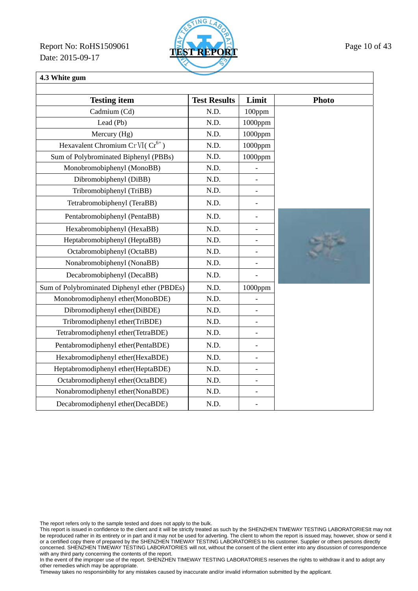Report No: RoHS1509061 **TEST REPORT** Page 10 of 43 Date: 2015-09-17



# **4.3 White gum**

| <b>Testing item</b>                          | <b>Test Results</b> | Limit                    | <b>Photo</b> |
|----------------------------------------------|---------------------|--------------------------|--------------|
| Cadmium (Cd)                                 | N.D.                | 100ppm                   |              |
| Lead (Pb)                                    | N.D.                | 1000ppm                  |              |
| Mercury (Hg)                                 | N.D.                | 1000ppm                  |              |
| Hexavalent Chromium Cr VI( $Cr^{6+}$ )       | N.D.                | 1000ppm                  |              |
| Sum of Polybrominated Biphenyl (PBBs)        | N.D.                | $1000$ ppm               |              |
| Monobromobiphenyl (MonoBB)                   | N.D.                |                          |              |
| Dibromobiphenyl (DiBB)                       | N.D.                | $\overline{\phantom{0}}$ |              |
| Tribromobiphenyl (TriBB)                     | N.D.                | $\overline{\phantom{a}}$ |              |
| Tetrabromobiphenyl (TeraBB)                  | N.D.                | $\overline{\phantom{0}}$ |              |
| Pentabromobiphenyl (PentaBB)                 | N.D.                | $\blacksquare$           |              |
| Hexabromobiphenyl (HexaBB)                   | N.D.                | $\overline{\phantom{0}}$ |              |
| Heptabromobiphenyl (HeptaBB)                 | N.D.                | $\overline{a}$           |              |
| Octabromobiphenyl (OctaBB)                   | N.D.                | $\qquad \qquad -$        |              |
| Nonabromobiphenyl (NonaBB)                   | N.D.                |                          |              |
| Decabromobiphenyl (DecaBB)                   | N.D.                |                          |              |
| Sum of Polybrominated Diphenyl ether (PBDEs) | N.D.                | 1000ppm                  |              |
| Monobromodiphenyl ether(MonoBDE)             | N.D.                | $\overline{\phantom{a}}$ |              |
| Dibromodiphenyl ether(DiBDE)                 | N.D.                | $\overline{\phantom{a}}$ |              |
| Tribromodiphenyl ether(TriBDE)               | N.D.                | $\overline{\phantom{a}}$ |              |
| Tetrabromodiphenyl ether(TetraBDE)           | N.D.                | $\overline{\phantom{0}}$ |              |
| Pentabromodiphenyl ether(PentaBDE)           | N.D.                | $\overline{\phantom{0}}$ |              |
| Hexabromodiphenyl ether(HexaBDE)             | N.D.                | $\qquad \qquad -$        |              |
| Heptabromodiphenyl ether(HeptaBDE)           | N.D.                | $\blacksquare$           |              |
| Octabromodiphenyl ether(OctaBDE)             | N.D.                | $\overline{\phantom{a}}$ |              |
| Nonabromodiphenyl ether(NonaBDE)             | N.D.                | $\blacksquare$           |              |
| Decabromodiphenyl ether(DecaBDE)             | N.D.                |                          |              |

The report refers only to the sample tested and does not apply to the bulk.

This report is issued in confidence to the client and it will be strictly treated as such by the SHENZHEN TIMEWAY TESTING LABORATORIESIt may not be reproduced rather in its entirety or in part and it may not be used for adverting. The client to whom the report is issued may, however, show or send it or a certified copy there of prepared by the SHENZHEN TIMEWAY TESTING LABORATORIES to his customer. Supplier or others persons directly concerned. SHENZHEN TIMEWAY TESTING LABORATORIES will not, without the consent of the client enter into any discussion of correspondence with any third party concerning the contents of the report.

In the event of the improper use of the report. SHENZHEN TIMEWAY TESTING LABORATORIES reserves the rights to withdraw it and to adopt any other remedies which may be appropriate.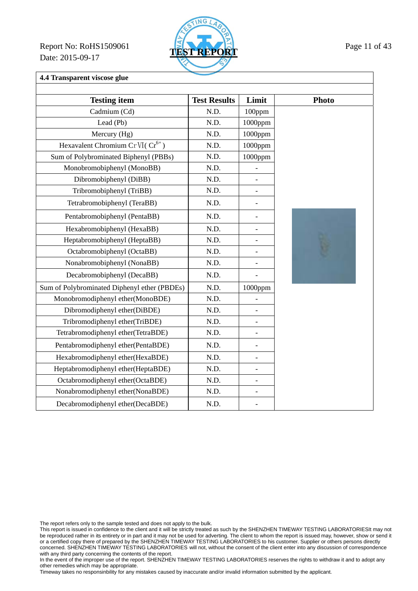Report No: RoHS1509061 **TEST REPORT** Page 11 of 43 Date: 2015-09-17



**4.4 Transparent viscose glue** 

| <b>Testing item</b>                          | <b>Test Results</b> | Limit                    | <b>Photo</b> |
|----------------------------------------------|---------------------|--------------------------|--------------|
| Cadmium (Cd)                                 | N.D.                | 100ppm                   |              |
| Lead (Pb)                                    | N.D.                | $1000$ ppm               |              |
| Mercury (Hg)                                 | N.D.                | 1000ppm                  |              |
| Hexavalent Chromium Cr VI( $Cr^{6+}$ )       | N.D.                | 1000ppm                  |              |
| Sum of Polybrominated Biphenyl (PBBs)        | N.D.                | 1000ppm                  |              |
| Monobromobiphenyl (MonoBB)                   | N.D.                |                          |              |
| Dibromobiphenyl (DiBB)                       | N.D.                |                          |              |
| Tribromobiphenyl (TriBB)                     | N.D.                |                          |              |
| Tetrabromobiphenyl (TeraBB)                  | N.D.                | $\overline{\phantom{0}}$ |              |
| Pentabromobiphenyl (PentaBB)                 | N.D.                |                          |              |
| Hexabromobiphenyl (HexaBB)                   | N.D.                | $\overline{\phantom{0}}$ |              |
| Heptabromobiphenyl (HeptaBB)                 | N.D.                |                          |              |
| Octabromobiphenyl (OctaBB)                   | N.D.                |                          |              |
| Nonabromobiphenyl (NonaBB)                   | N.D.                |                          |              |
| Decabromobiphenyl (DecaBB)                   | N.D.                |                          |              |
| Sum of Polybrominated Diphenyl ether (PBDEs) | N.D.                | 1000ppm                  |              |
| Monobromodiphenyl ether(MonoBDE)             | N.D.                |                          |              |
| Dibromodiphenyl ether(DiBDE)                 | N.D.                | $\overline{a}$           |              |
| Tribromodiphenyl ether(TriBDE)               | N.D.                | $\overline{\phantom{0}}$ |              |
| Tetrabromodiphenyl ether(TetraBDE)           | N.D.                | $\overline{\phantom{a}}$ |              |
| Pentabromodiphenyl ether(PentaBDE)           | N.D.                | $\overline{a}$           |              |
| Hexabromodiphenyl ether(HexaBDE)             | N.D.                | $\overline{a}$           |              |
| Heptabromodiphenyl ether(HeptaBDE)           | N.D.                | $\overline{\phantom{0}}$ |              |
| Octabromodiphenyl ether(OctaBDE)             | N.D.                | $\overline{\phantom{0}}$ |              |
| Nonabromodiphenyl ether(NonaBDE)             | N.D.                | $\overline{a}$           |              |
| Decabromodiphenyl ether(DecaBDE)             | N.D.                |                          |              |

The report refers only to the sample tested and does not apply to the bulk.

This report is issued in confidence to the client and it will be strictly treated as such by the SHENZHEN TIMEWAY TESTING LABORATORIESIt may not be reproduced rather in its entirety or in part and it may not be used for adverting. The client to whom the report is issued may, however, show or send it or a certified copy there of prepared by the SHENZHEN TIMEWAY TESTING LABORATORIES to his customer. Supplier or others persons directly concerned. SHENZHEN TIMEWAY TESTING LABORATORIES will not, without the consent of the client enter into any discussion of correspondence with any third party concerning the contents of the report.

In the event of the improper use of the report. SHENZHEN TIMEWAY TESTING LABORATORIES reserves the rights to withdraw it and to adopt any other remedies which may be appropriate.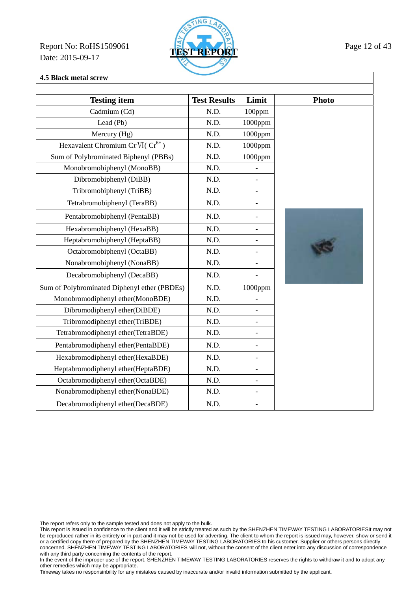Report No: RoHS1509061 **TEST REPORT** Page 12 of 43 Date: 2015-09-17



### **4.5 Black metal screw**

| <b>Testing item</b>                          | <b>Test Results</b> | Limit                    | <b>Photo</b> |
|----------------------------------------------|---------------------|--------------------------|--------------|
| Cadmium (Cd)                                 | N.D.                | 100ppm                   |              |
| Lead (Pb)                                    | N.D.                | $1000$ ppm               |              |
| Mercury (Hg)                                 | N.D.                | 1000ppm                  |              |
| Hexavalent Chromium Cr VI( $Cr^{6+}$ )       | N.D.                | $1000$ ppm               |              |
| Sum of Polybrominated Biphenyl (PBBs)        | N.D.                | 1000ppm                  |              |
| Monobromobiphenyl (MonoBB)                   | N.D.                |                          |              |
| Dibromobiphenyl (DiBB)                       | N.D.                | $\overline{\phantom{0}}$ |              |
| Tribromobiphenyl (TriBB)                     | N.D.                | $\overline{a}$           |              |
| Tetrabromobiphenyl (TeraBB)                  | N.D.                | $\overline{a}$           |              |
| Pentabromobiphenyl (PentaBB)                 | N.D.                | $\overline{\phantom{0}}$ |              |
| Hexabromobiphenyl (HexaBB)                   | N.D.                |                          |              |
| Heptabromobiphenyl (HeptaBB)                 | N.D.                | $\overline{\phantom{0}}$ |              |
| Octabromobiphenyl (OctaBB)                   | N.D.                | $\overline{\phantom{a}}$ |              |
| Nonabromobiphenyl (NonaBB)                   | N.D.                | $\qquad \qquad -$        |              |
| Decabromobiphenyl (DecaBB)                   | N.D.                | $\overline{a}$           |              |
| Sum of Polybrominated Diphenyl ether (PBDEs) | N.D.                | $1000$ ppm               |              |
| Monobromodiphenyl ether(MonoBDE)             | N.D.                |                          |              |
| Dibromodiphenyl ether(DiBDE)                 | N.D.                | $\frac{1}{2}$            |              |
| Tribromodiphenyl ether(TriBDE)               | N.D.                | $\overline{a}$           |              |
| Tetrabromodiphenyl ether(TetraBDE)           | N.D.                | $\overline{a}$           |              |
| Pentabromodiphenyl ether(PentaBDE)           | N.D.                | $\overline{a}$           |              |
| Hexabromodiphenyl ether(HexaBDE)             | N.D.                | $\qquad \qquad -$        |              |
| Heptabromodiphenyl ether(HeptaBDE)           | N.D.                | $\overline{\phantom{0}}$ |              |
| Octabromodiphenyl ether(OctaBDE)             | N.D.                | $\overline{a}$           |              |
| Nonabromodiphenyl ether(NonaBDE)             | N.D.                | $\overline{\phantom{0}}$ |              |
| Decabromodiphenyl ether(DecaBDE)             | N.D.                | $\overline{a}$           |              |

The report refers only to the sample tested and does not apply to the bulk.

This report is issued in confidence to the client and it will be strictly treated as such by the SHENZHEN TIMEWAY TESTING LABORATORIESIt may not be reproduced rather in its entirety or in part and it may not be used for adverting. The client to whom the report is issued may, however, show or send it or a certified copy there of prepared by the SHENZHEN TIMEWAY TESTING LABORATORIES to his customer. Supplier or others persons directly concerned. SHENZHEN TIMEWAY TESTING LABORATORIES will not, without the consent of the client enter into any discussion of correspondence with any third party concerning the contents of the report.

In the event of the improper use of the report. SHENZHEN TIMEWAY TESTING LABORATORIES reserves the rights to withdraw it and to adopt any other remedies which may be appropriate.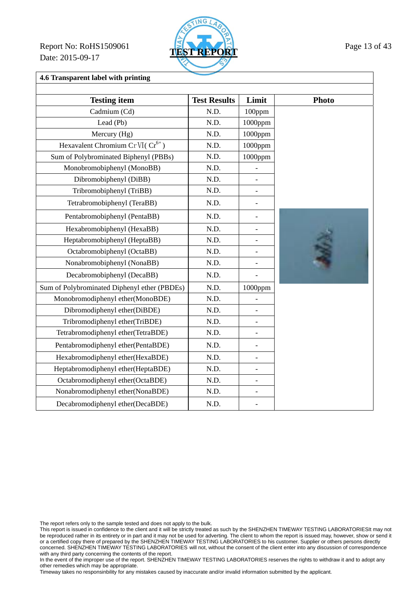Report No: RoHS1509061 **TEST REPORT** Page 13 of 43 Date: 2015-09-17



**4.6 Transparent label with printing** 

| <b>Testing item</b>                          | <b>Test Results</b> | Limit                    | <b>Photo</b> |
|----------------------------------------------|---------------------|--------------------------|--------------|
| Cadmium (Cd)                                 | N.D.                | 100ppm                   |              |
| Lead (Pb)                                    | N.D.                | 1000ppm                  |              |
| Mercury (Hg)                                 | N.D.                | 1000ppm                  |              |
| Hexavalent Chromium Cr VI(Cr <sup>6+</sup> ) | N.D.                | 1000ppm                  |              |
| Sum of Polybrominated Biphenyl (PBBs)        | N.D.                | 1000ppm                  |              |
| Monobromobiphenyl (MonoBB)                   | N.D.                |                          |              |
| Dibromobiphenyl (DiBB)                       | N.D.                | $\overline{a}$           |              |
| Tribromobiphenyl (TriBB)                     | N.D.                | $\overline{\phantom{0}}$ |              |
| Tetrabromobiphenyl (TeraBB)                  | N.D.                | $\overline{\phantom{a}}$ |              |
| Pentabromobiphenyl (PentaBB)                 | N.D.                | $\qquad \qquad -$        |              |
| Hexabromobiphenyl (HexaBB)                   | N.D.                | $\overline{a}$           |              |
| Heptabromobiphenyl (HeptaBB)                 | N.D.                | $\overline{\phantom{a}}$ |              |
| Octabromobiphenyl (OctaBB)                   | N.D.                | $\overline{a}$           |              |
| Nonabromobiphenyl (NonaBB)                   | N.D.                | $\overline{a}$           |              |
| Decabromobiphenyl (DecaBB)                   | N.D.                | $\overline{a}$           |              |
| Sum of Polybrominated Diphenyl ether (PBDEs) | N.D.                | $1000$ ppm               |              |
| Monobromodiphenyl ether(MonoBDE)             | N.D.                |                          |              |
| Dibromodiphenyl ether(DiBDE)                 | N.D.                | $\blacksquare$           |              |
| Tribromodiphenyl ether(TriBDE)               | N.D.                | $\blacksquare$           |              |
| Tetrabromodiphenyl ether(TetraBDE)           | N.D.                | $\overline{a}$           |              |
| Pentabromodiphenyl ether(PentaBDE)           | N.D.                | $\qquad \qquad -$        |              |
| Hexabromodiphenyl ether(HexaBDE)             | N.D.                | $\overline{\phantom{a}}$ |              |
| Heptabromodiphenyl ether(HeptaBDE)           | N.D.                | $\overline{\phantom{0}}$ |              |
| Octabromodiphenyl ether(OctaBDE)             | N.D.                | $\overline{\phantom{a}}$ |              |
| Nonabromodiphenyl ether(NonaBDE)             | N.D.                | $\overline{\phantom{0}}$ |              |
| Decabromodiphenyl ether(DecaBDE)             | N.D.                |                          |              |

The report refers only to the sample tested and does not apply to the bulk.

This report is issued in confidence to the client and it will be strictly treated as such by the SHENZHEN TIMEWAY TESTING LABORATORIESIt may not be reproduced rather in its entirety or in part and it may not be used for adverting. The client to whom the report is issued may, however, show or send it or a certified copy there of prepared by the SHENZHEN TIMEWAY TESTING LABORATORIES to his customer. Supplier or others persons directly concerned. SHENZHEN TIMEWAY TESTING LABORATORIES will not, without the consent of the client enter into any discussion of correspondence with any third party concerning the contents of the report.

In the event of the improper use of the report. SHENZHEN TIMEWAY TESTING LABORATORIES reserves the rights to withdraw it and to adopt any other remedies which may be appropriate.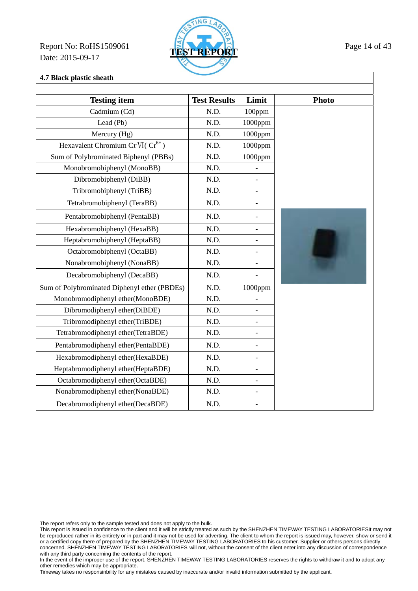Report No: RoHS1509061 **TEST REPORT** Page 14 of 43 Date: 2015-09-17



### **4.7 Black plastic sheath**

| <b>Testing item</b>                          | <b>Test Results</b> | Limit                    | <b>Photo</b> |
|----------------------------------------------|---------------------|--------------------------|--------------|
| Cadmium (Cd)                                 | N.D.                | 100ppm                   |              |
| Lead (Pb)                                    | N.D.                | 1000ppm                  |              |
| Mercury (Hg)                                 | N.D.                | 1000ppm                  |              |
| Hexavalent Chromium Cr VI( $Cr^{6+}$ )       | N.D.                | 1000ppm                  |              |
| Sum of Polybrominated Biphenyl (PBBs)        | N.D.                | 1000ppm                  |              |
| Monobromobiphenyl (MonoBB)                   | N.D.                |                          |              |
| Dibromobiphenyl (DiBB)                       | N.D.                | $\qquad \qquad -$        |              |
| Tribromobiphenyl (TriBB)                     | N.D.                | $\overline{\phantom{0}}$ |              |
|                                              |                     |                          |              |
| Tetrabromobiphenyl (TeraBB)                  | N.D.                | $\overline{\phantom{a}}$ |              |
| Pentabromobiphenyl (PentaBB)                 | N.D.                | $\overline{\phantom{0}}$ |              |
| Hexabromobiphenyl (HexaBB)                   | N.D.                | $\overline{a}$           |              |
| Heptabromobiphenyl (HeptaBB)                 | N.D.                | $\overline{\phantom{a}}$ |              |
| Octabromobiphenyl (OctaBB)                   | N.D.                | $\overline{\phantom{a}}$ |              |
| Nonabromobiphenyl (NonaBB)                   | N.D.                | $\frac{1}{2}$            |              |
| Decabromobiphenyl (DecaBB)                   | N.D.                | $\overline{a}$           |              |
| Sum of Polybrominated Diphenyl ether (PBDEs) | N.D.                | $1000$ ppm               |              |
| Monobromodiphenyl ether(MonoBDE)             | N.D.                |                          |              |
| Dibromodiphenyl ether(DiBDE)                 | N.D.                | $\blacksquare$           |              |
| Tribromodiphenyl ether(TriBDE)               | N.D.                | $\blacksquare$           |              |
| Tetrabromodiphenyl ether(TetraBDE)           | N.D.                | $\overline{a}$           |              |
| Pentabromodiphenyl ether(PentaBDE)           | N.D.                | $\overline{\phantom{0}}$ |              |
| Hexabromodiphenyl ether(HexaBDE)             | N.D.                | $\qquad \qquad -$        |              |
| Heptabromodiphenyl ether(HeptaBDE)           | N.D.                | $\overline{\phantom{a}}$ |              |
| Octabromodiphenyl ether(OctaBDE)             | N.D.                | $\overline{\phantom{a}}$ |              |
| Nonabromodiphenyl ether(NonaBDE)             | N.D.                | $\overline{\phantom{0}}$ |              |
| Decabromodiphenyl ether(DecaBDE)             | N.D.                | $\overline{\phantom{a}}$ |              |

The report refers only to the sample tested and does not apply to the bulk.

This report is issued in confidence to the client and it will be strictly treated as such by the SHENZHEN TIMEWAY TESTING LABORATORIESIt may not be reproduced rather in its entirety or in part and it may not be used for adverting. The client to whom the report is issued may, however, show or send it or a certified copy there of prepared by the SHENZHEN TIMEWAY TESTING LABORATORIES to his customer. Supplier or others persons directly concerned. SHENZHEN TIMEWAY TESTING LABORATORIES will not, without the consent of the client enter into any discussion of correspondence with any third party concerning the contents of the report.

In the event of the improper use of the report. SHENZHEN TIMEWAY TESTING LABORATORIES reserves the rights to withdraw it and to adopt any other remedies which may be appropriate.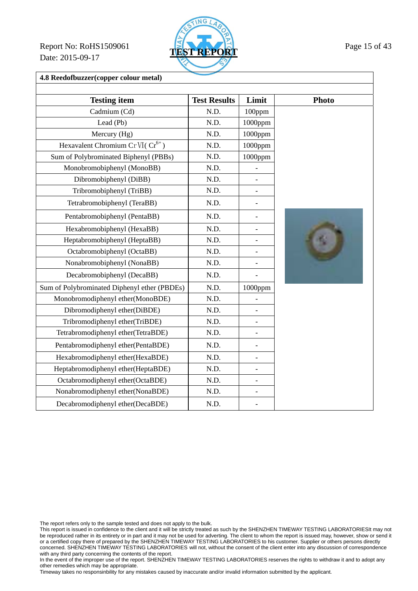Report No: RoHS1509061 **TEST REPORT** Page 15 of 43 Date: 2015-09-17



**4.8 Reedofbuzzer(copper colour metal)** 

| <b>Testing item</b>                          | <b>Test Results</b> | Limit                    | <b>Photo</b> |
|----------------------------------------------|---------------------|--------------------------|--------------|
| Cadmium (Cd)                                 | N.D.                | 100ppm                   |              |
| Lead (Pb)                                    | N.D.                | $1000$ ppm               |              |
| Mercury (Hg)                                 | N.D.                | 1000ppm                  |              |
| Hexavalent Chromium Cr VI( $Cr^{6+}$ )       | N.D.                | 1000ppm                  |              |
| Sum of Polybrominated Biphenyl (PBBs)        | N.D.                | 1000ppm                  |              |
| Monobromobiphenyl (MonoBB)                   | N.D.                |                          |              |
| Dibromobiphenyl (DiBB)                       | N.D.                | $\overline{\phantom{0}}$ |              |
| Tribromobiphenyl (TriBB)                     | N.D.                |                          |              |
| Tetrabromobiphenyl (TeraBB)                  | N.D.                | $\overline{a}$           |              |
| Pentabromobiphenyl (PentaBB)                 | N.D.                |                          |              |
| Hexabromobiphenyl (HexaBB)                   | N.D.                | $\overline{\phantom{0}}$ |              |
| Heptabromobiphenyl (HeptaBB)                 | N.D.                |                          |              |
| Octabromobiphenyl (OctaBB)                   | N.D.                |                          |              |
| Nonabromobiphenyl (NonaBB)                   | N.D.                | -                        |              |
| Decabromobiphenyl (DecaBB)                   | N.D.                |                          |              |
| Sum of Polybrominated Diphenyl ether (PBDEs) | N.D.                | 1000ppm                  |              |
| Monobromodiphenyl ether(MonoBDE)             | N.D.                |                          |              |
| Dibromodiphenyl ether(DiBDE)                 | N.D.                |                          |              |
| Tribromodiphenyl ether(TriBDE)               | N.D.                | $\overline{\phantom{0}}$ |              |
| Tetrabromodiphenyl ether(TetraBDE)           | N.D.                | $\overline{a}$           |              |
| Pentabromodiphenyl ether(PentaBDE)           | N.D.                | $\blacksquare$           |              |
| Hexabromodiphenyl ether(HexaBDE)             | N.D.                | $\overline{\phantom{0}}$ |              |
| Heptabromodiphenyl ether(HeptaBDE)           | N.D.                | $\overline{\phantom{0}}$ |              |
| Octabromodiphenyl ether(OctaBDE)             | N.D.                |                          |              |
| Nonabromodiphenyl ether(NonaBDE)             | N.D.                | $\overline{a}$           |              |
| Decabromodiphenyl ether(DecaBDE)             | N.D.                |                          |              |

The report refers only to the sample tested and does not apply to the bulk.

This report is issued in confidence to the client and it will be strictly treated as such by the SHENZHEN TIMEWAY TESTING LABORATORIESIt may not be reproduced rather in its entirety or in part and it may not be used for adverting. The client to whom the report is issued may, however, show or send it or a certified copy there of prepared by the SHENZHEN TIMEWAY TESTING LABORATORIES to his customer. Supplier or others persons directly concerned. SHENZHEN TIMEWAY TESTING LABORATORIES will not, without the consent of the client enter into any discussion of correspondence with any third party concerning the contents of the report.

In the event of the improper use of the report. SHENZHEN TIMEWAY TESTING LABORATORIES reserves the rights to withdraw it and to adopt any other remedies which may be appropriate.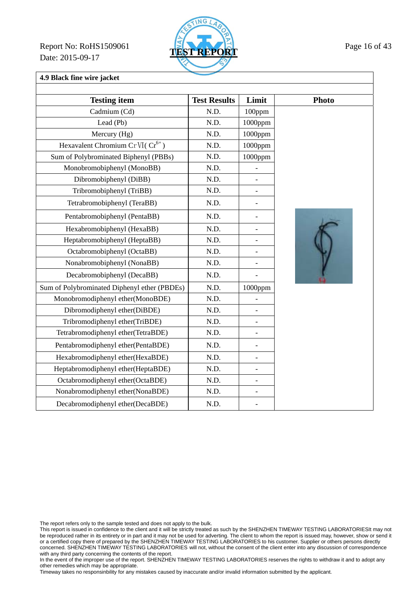Report No: RoHS1509061 **TEST REPORT** Page 16 of 43 Date: 2015-09-17



# **4.9 Black fine wire jacket**

| <b>Testing item</b>                          | <b>Test Results</b> | Limit                    | <b>Photo</b> |
|----------------------------------------------|---------------------|--------------------------|--------------|
| Cadmium (Cd)                                 | N.D.                | 100ppm                   |              |
| Lead (Pb)                                    | N.D.                | $1000$ ppm               |              |
| Mercury (Hg)                                 | N.D.                | 1000ppm                  |              |
| Hexavalent Chromium Cr VI( $Cr^{6+}$ )       | N.D.                | $1000$ ppm               |              |
| Sum of Polybrominated Biphenyl (PBBs)        | N.D.                | $1000$ ppm               |              |
| Monobromobiphenyl (MonoBB)                   | N.D.                | $\overline{a}$           |              |
| Dibromobiphenyl (DiBB)                       | N.D.                |                          |              |
| Tribromobiphenyl (TriBB)                     | N.D.                |                          |              |
| Tetrabromobiphenyl (TeraBB)                  | N.D.                |                          |              |
| Pentabromobiphenyl (PentaBB)                 | N.D.                | $\overline{\phantom{0}}$ |              |
| Hexabromobiphenyl (HexaBB)                   | N.D.                | $\overline{\phantom{a}}$ |              |
| Heptabromobiphenyl (HeptaBB)                 | N.D.                | $\overline{\phantom{m}}$ |              |
| Octabromobiphenyl (OctaBB)                   | N.D.                |                          |              |
| Nonabromobiphenyl (NonaBB)                   | N.D.                | $\blacksquare$           |              |
| Decabromobiphenyl (DecaBB)                   | N.D.                |                          |              |
| Sum of Polybrominated Diphenyl ether (PBDEs) | N.D.                | $1000$ ppm               |              |
| Monobromodiphenyl ether(MonoBDE)             | N.D.                |                          |              |
| Dibromodiphenyl ether(DiBDE)                 | N.D.                |                          |              |
| Tribromodiphenyl ether(TriBDE)               | N.D.                |                          |              |
| Tetrabromodiphenyl ether(TetraBDE)           | N.D.                | $\overline{\phantom{0}}$ |              |
| Pentabromodiphenyl ether(PentaBDE)           | N.D.                | $\overline{\phantom{0}}$ |              |
| Hexabromodiphenyl ether(HexaBDE)             | N.D.                | $\overline{\phantom{0}}$ |              |
| Heptabromodiphenyl ether(HeptaBDE)           | N.D.                | $\overline{a}$           |              |
| Octabromodiphenyl ether(OctaBDE)             | N.D.                |                          |              |
| Nonabromodiphenyl ether(NonaBDE)             | N.D.                | $\blacksquare$           |              |
| Decabromodiphenyl ether(DecaBDE)             | N.D.                |                          |              |

The report refers only to the sample tested and does not apply to the bulk.

This report is issued in confidence to the client and it will be strictly treated as such by the SHENZHEN TIMEWAY TESTING LABORATORIESIt may not be reproduced rather in its entirety or in part and it may not be used for adverting. The client to whom the report is issued may, however, show or send it or a certified copy there of prepared by the SHENZHEN TIMEWAY TESTING LABORATORIES to his customer. Supplier or others persons directly concerned. SHENZHEN TIMEWAY TESTING LABORATORIES will not, without the consent of the client enter into any discussion of correspondence with any third party concerning the contents of the report.

In the event of the improper use of the report. SHENZHEN TIMEWAY TESTING LABORATORIES reserves the rights to withdraw it and to adopt any other remedies which may be appropriate.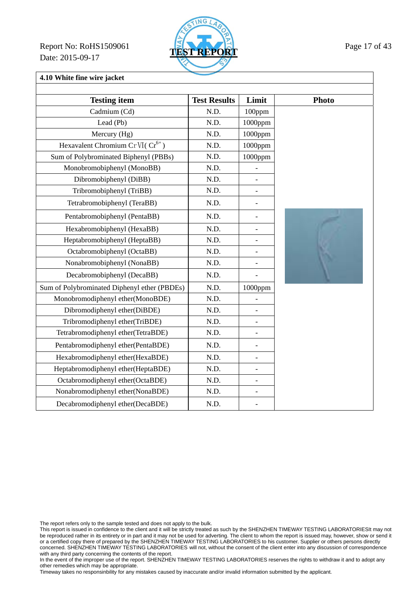Report No: RoHS1509061 **TEST REPORT** Page 17 of 43 Date: 2015-09-17



**4.10 White fine wire jacket** 

| <b>Testing item</b>                          | <b>Test Results</b> | Limit                    | <b>Photo</b> |
|----------------------------------------------|---------------------|--------------------------|--------------|
| Cadmium (Cd)                                 | N.D.                | 100ppm                   |              |
| Lead (Pb)                                    | N.D.                | $1000$ ppm               |              |
| Mercury (Hg)                                 | N.D.                | 1000ppm                  |              |
| Hexavalent Chromium Cr VI( $Cr^{6+}$ )       | N.D.                | 1000ppm                  |              |
| Sum of Polybrominated Biphenyl (PBBs)        | N.D.                | 1000ppm                  |              |
| Monobromobiphenyl (MonoBB)                   | N.D.                |                          |              |
| Dibromobiphenyl (DiBB)                       | N.D.                |                          |              |
| Tribromobiphenyl (TriBB)                     | N.D.                | $\overline{a}$           |              |
| Tetrabromobiphenyl (TeraBB)                  | N.D.                | $\overline{\phantom{0}}$ |              |
| Pentabromobiphenyl (PentaBB)                 | N.D.                |                          |              |
| Hexabromobiphenyl (HexaBB)                   | N.D.                | $\overline{\phantom{0}}$ |              |
| Heptabromobiphenyl (HeptaBB)                 | N.D.                |                          |              |
| Octabromobiphenyl (OctaBB)                   | N.D.                | $\overline{a}$           |              |
| Nonabromobiphenyl (NonaBB)                   | N.D.                | $\overline{a}$           |              |
| Decabromobiphenyl (DecaBB)                   | N.D.                | $\overline{a}$           |              |
| Sum of Polybrominated Diphenyl ether (PBDEs) | N.D.                | 1000ppm                  |              |
| Monobromodiphenyl ether(MonoBDE)             | N.D.                |                          |              |
| Dibromodiphenyl ether(DiBDE)                 | N.D.                | $\overline{a}$           |              |
| Tribromodiphenyl ether(TriBDE)               | N.D.                | $\overline{\phantom{0}}$ |              |
| Tetrabromodiphenyl ether(TetraBDE)           | N.D.                | $\overline{\phantom{0}}$ |              |
| Pentabromodiphenyl ether(PentaBDE)           | N.D.                | $\overline{a}$           |              |
| Hexabromodiphenyl ether(HexaBDE)             | N.D.                | $\overline{\phantom{0}}$ |              |
| Heptabromodiphenyl ether(HeptaBDE)           | N.D.                | $\overline{\phantom{0}}$ |              |
| Octabromodiphenyl ether(OctaBDE)             | N.D.                | $\overline{\phantom{0}}$ |              |
| Nonabromodiphenyl ether(NonaBDE)             | N.D.                | $\overline{a}$           |              |
| Decabromodiphenyl ether(DecaBDE)             | N.D.                |                          |              |

The report refers only to the sample tested and does not apply to the bulk.

This report is issued in confidence to the client and it will be strictly treated as such by the SHENZHEN TIMEWAY TESTING LABORATORIESIt may not be reproduced rather in its entirety or in part and it may not be used for adverting. The client to whom the report is issued may, however, show or send it or a certified copy there of prepared by the SHENZHEN TIMEWAY TESTING LABORATORIES to his customer. Supplier or others persons directly concerned. SHENZHEN TIMEWAY TESTING LABORATORIES will not, without the consent of the client enter into any discussion of correspondence with any third party concerning the contents of the report.

In the event of the improper use of the report. SHENZHEN TIMEWAY TESTING LABORATORIES reserves the rights to withdraw it and to adopt any other remedies which may be appropriate.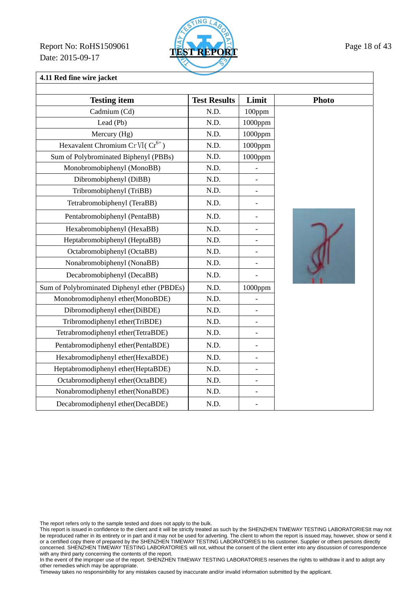Report No: RoHS1509061 **TEST REPORT** Page 18 of 43 Date: 2015-09-17



# **4.11 Red fine wire jacket**

| <b>Testing item</b>                           | <b>Test Results</b> | Limit                    | <b>Photo</b>  |
|-----------------------------------------------|---------------------|--------------------------|---------------|
| Cadmium (Cd)                                  | N.D.                | 100ppm                   |               |
| Lead (Pb)                                     | N.D.                | 1000ppm                  |               |
| Mercury (Hg)                                  | N.D.                | 1000ppm                  |               |
| Hexavalent Chromium Cr VI( Cr <sup>6+</sup> ) | N.D.                | 1000ppm                  |               |
| Sum of Polybrominated Biphenyl (PBBs)         | N.D.                | 1000ppm                  |               |
| Monobromobiphenyl (MonoBB)                    | N.D.                |                          |               |
| Dibromobiphenyl (DiBB)                        | N.D.                | $\qquad \qquad -$        |               |
| Tribromobiphenyl (TriBB)                      | N.D.                |                          |               |
| Tetrabromobiphenyl (TeraBB)                   | N.D.                | $\qquad \qquad -$        |               |
| Pentabromobiphenyl (PentaBB)                  | N.D.                |                          |               |
| Hexabromobiphenyl (HexaBB)                    | N.D.                | $\overline{\phantom{0}}$ |               |
| Heptabromobiphenyl (HeptaBB)                  | N.D.                |                          | $\mathcal{X}$ |
| Octabromobiphenyl (OctaBB)                    | N.D.                |                          |               |
| Nonabromobiphenyl (NonaBB)                    | N.D.                | $\overline{a}$           |               |
| Decabromobiphenyl (DecaBB)                    | N.D.                |                          |               |
| Sum of Polybrominated Diphenyl ether (PBDEs)  | N.D.                | 1000ppm                  |               |
| Monobromodiphenyl ether(MonoBDE)              | N.D.                |                          |               |
| Dibromodiphenyl ether(DiBDE)                  | N.D.                |                          |               |
| Tribromodiphenyl ether(TriBDE)                | N.D.                |                          |               |
| Tetrabromodiphenyl ether(TetraBDE)            | N.D.                | $\blacksquare$           |               |
| Pentabromodiphenyl ether(PentaBDE)            | N.D.                | $\overline{\phantom{0}}$ |               |
| Hexabromodiphenyl ether(HexaBDE)              | N.D.                | $\overline{\phantom{0}}$ |               |
| Heptabromodiphenyl ether(HeptaBDE)            | N.D.                | $\overline{a}$           |               |
| Octabromodiphenyl ether(OctaBDE)              | N.D.                |                          |               |
| Nonabromodiphenyl ether(NonaBDE)              | N.D.                | $\qquad \qquad -$        |               |
| Decabromodiphenyl ether(DecaBDE)              | N.D.                |                          |               |

The report refers only to the sample tested and does not apply to the bulk.

This report is issued in confidence to the client and it will be strictly treated as such by the SHENZHEN TIMEWAY TESTING LABORATORIESIt may not be reproduced rather in its entirety or in part and it may not be used for adverting. The client to whom the report is issued may, however, show or send it or a certified copy there of prepared by the SHENZHEN TIMEWAY TESTING LABORATORIES to his customer. Supplier or others persons directly concerned. SHENZHEN TIMEWAY TESTING LABORATORIES will not, without the consent of the client enter into any discussion of correspondence with any third party concerning the contents of the report.

In the event of the improper use of the report. SHENZHEN TIMEWAY TESTING LABORATORIES reserves the rights to withdraw it and to adopt any other remedies which may be appropriate.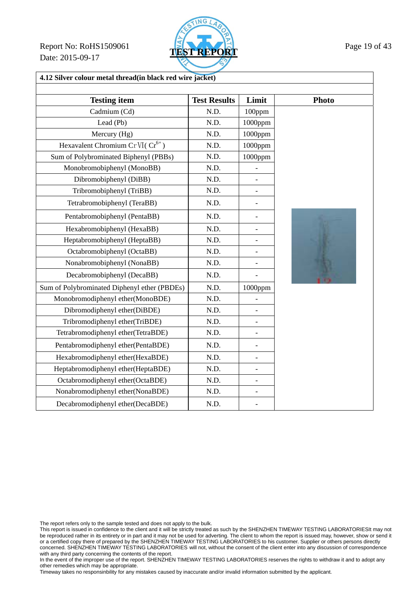Report No: RoHS1509061 **TEST REPORT** Page 19 of 43 Date: 2015-09-17



| <b>Testing item</b>                          | <b>Test Results</b> | Limit                    | <b>Photo</b> |
|----------------------------------------------|---------------------|--------------------------|--------------|
| Cadmium (Cd)                                 | N.D.                | 100ppm                   |              |
| Lead (Pb)                                    | N.D.                | $1000$ ppm               |              |
| Mercury (Hg)                                 | N.D.                | 1000ppm                  |              |
| Hexavalent Chromium Cr VI( $Cr^{6+}$ )       | N.D.                | 1000ppm                  |              |
| Sum of Polybrominated Biphenyl (PBBs)        | N.D.                | $1000$ ppm               |              |
| Monobromobiphenyl (MonoBB)                   | N.D.                |                          |              |
| Dibromobiphenyl (DiBB)                       | N.D.                |                          |              |
| Tribromobiphenyl (TriBB)                     | N.D.                |                          |              |
| Tetrabromobiphenyl (TeraBB)                  | N.D.                |                          |              |
| Pentabromobiphenyl (PentaBB)                 | N.D.                |                          |              |
| Hexabromobiphenyl (HexaBB)                   | N.D.                |                          |              |
| Heptabromobiphenyl (HeptaBB)                 | N.D.                |                          |              |
| Octabromobiphenyl (OctaBB)                   | N.D.                |                          |              |
| Nonabromobiphenyl (NonaBB)                   | N.D.                | $\overline{\phantom{0}}$ |              |
| Decabromobiphenyl (DecaBB)                   | N.D.                |                          |              |
| Sum of Polybrominated Diphenyl ether (PBDEs) | N.D.                | 1000ppm                  |              |
| Monobromodiphenyl ether(MonoBDE)             | N.D.                | $\overline{\phantom{0}}$ |              |
| Dibromodiphenyl ether(DiBDE)                 | N.D.                | $\overline{\phantom{0}}$ |              |
| Tribromodiphenyl ether(TriBDE)               | N.D.                | $\overline{\phantom{a}}$ |              |
| Tetrabromodiphenyl ether(TetraBDE)           | N.D.                | $\overline{a}$           |              |
| Pentabromodiphenyl ether(PentaBDE)           | N.D.                | $\overline{\phantom{a}}$ |              |
| Hexabromodiphenyl ether(HexaBDE)             | N.D.                | $\overline{\phantom{0}}$ |              |
| Heptabromodiphenyl ether(HeptaBDE)           | N.D.                |                          |              |
| Octabromodiphenyl ether(OctaBDE)             | N.D.                | $\overline{\phantom{0}}$ |              |
| Nonabromodiphenyl ether(NonaBDE)             | N.D.                |                          |              |
| Decabromodiphenyl ether(DecaBDE)             | N.D.                |                          |              |

The report refers only to the sample tested and does not apply to the bulk.

This report is issued in confidence to the client and it will be strictly treated as such by the SHENZHEN TIMEWAY TESTING LABORATORIESIt may not be reproduced rather in its entirety or in part and it may not be used for adverting. The client to whom the report is issued may, however, show or send it or a certified copy there of prepared by the SHENZHEN TIMEWAY TESTING LABORATORIES to his customer. Supplier or others persons directly concerned. SHENZHEN TIMEWAY TESTING LABORATORIES will not, without the consent of the client enter into any discussion of correspondence with any third party concerning the contents of the report.

In the event of the improper use of the report. SHENZHEN TIMEWAY TESTING LABORATORIES reserves the rights to withdraw it and to adopt any other remedies which may be appropriate.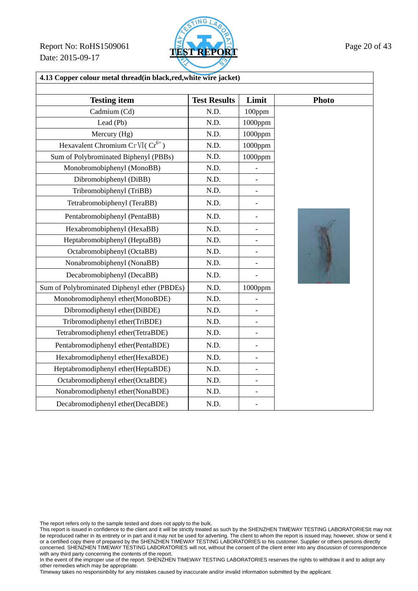**Report No: RoHS1509061 TEST REPORT Page 20 of 43** Date: 2015-09-17



| 4.13 Copper colour metal thread(in black, red, white wire jacket) |                     |                          |              |
|-------------------------------------------------------------------|---------------------|--------------------------|--------------|
|                                                                   |                     |                          |              |
| <b>Testing item</b>                                               | <b>Test Results</b> | Limit                    | <b>Photo</b> |
| Cadmium (Cd)                                                      | N.D.                | 100ppm                   |              |
| Lead (Pb)                                                         | N.D.                | 1000ppm                  |              |
| Mercury (Hg)                                                      | N.D.                | 1000ppm                  |              |
| Hexavalent Chromium Cr VI( $Cr^{6+}$ )                            | N.D.                | 1000ppm                  |              |
| Sum of Polybrominated Biphenyl (PBBs)                             | N.D.                | 1000ppm                  |              |
| Monobromobiphenyl (MonoBB)                                        | N.D.                |                          |              |
| Dibromobiphenyl (DiBB)                                            | N.D.                |                          |              |
| Tribromobiphenyl (TriBB)                                          | N.D.                | $\qquad \qquad -$        |              |
| Tetrabromobiphenyl (TeraBB)                                       | N.D.                |                          |              |
| Pentabromobiphenyl (PentaBB)                                      | N.D.                |                          |              |
| Hexabromobiphenyl (HexaBB)                                        | N.D.                |                          |              |
| Heptabromobiphenyl (HeptaBB)                                      | N.D.                |                          |              |
| Octabromobiphenyl (OctaBB)                                        | N.D.                |                          |              |
| Nonabromobiphenyl (NonaBB)                                        | N.D.                |                          |              |
| Decabromobiphenyl (DecaBB)                                        | N.D.                | $\overline{a}$           |              |
| Sum of Polybrominated Diphenyl ether (PBDEs)                      | N.D.                | $1000$ ppm               |              |
| Monobromodiphenyl ether(MonoBDE)                                  | N.D.                |                          |              |
| Dibromodiphenyl ether(DiBDE)                                      | N.D.                | $\overline{\phantom{0}}$ |              |
| Tribromodiphenyl ether(TriBDE)                                    | N.D.                |                          |              |
| Tetrabromodiphenyl ether(TetraBDE)                                | N.D.                |                          |              |
| Pentabromodiphenyl ether(PentaBDE)                                | N.D.                | $\overline{a}$           |              |
| Hexabromodiphenyl ether(HexaBDE)                                  | N.D.                |                          |              |
| Heptabromodiphenyl ether(HeptaBDE)                                | N.D.                | $\overline{\phantom{0}}$ |              |
| Octabromodiphenyl ether(OctaBDE)                                  | N.D.                | $\overline{\phantom{0}}$ |              |
| Nonabromodiphenyl ether(NonaBDE)                                  | N.D.                | $\overline{\phantom{0}}$ |              |
| Decabromodiphenyl ether(DecaBDE)                                  | N.D.                |                          |              |

The report refers only to the sample tested and does not apply to the bulk.

This report is issued in confidence to the client and it will be strictly treated as such by the SHENZHEN TIMEWAY TESTING LABORATORIESIt may not be reproduced rather in its entirety or in part and it may not be used for adverting. The client to whom the report is issued may, however, show or send it or a certified copy there of prepared by the SHENZHEN TIMEWAY TESTING LABORATORIES to his customer. Supplier or others persons directly concerned. SHENZHEN TIMEWAY TESTING LABORATORIES will not, without the consent of the client enter into any discussion of correspondence with any third party concerning the contents of the report.

In the event of the improper use of the report. SHENZHEN TIMEWAY TESTING LABORATORIES reserves the rights to withdraw it and to adopt any other remedies which may be appropriate.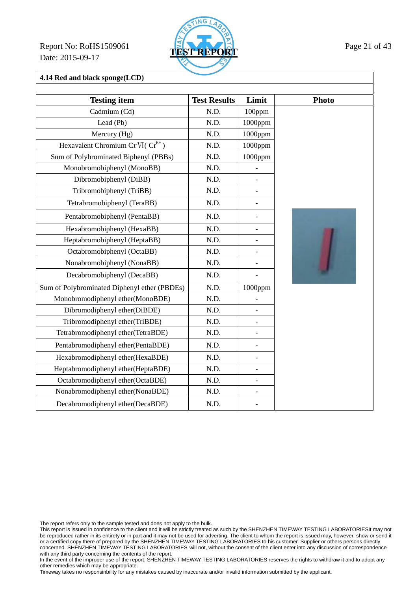Report No: RoHS1509061 **TEST REPORT** Page 21 of 43 Date: 2015-09-17



**4.14 Red and black sponge(LCD)** 

| <b>Testing item</b>                          | <b>Test Results</b> | Limit                    | <b>Photo</b> |
|----------------------------------------------|---------------------|--------------------------|--------------|
| Cadmium (Cd)                                 | N.D.                | 100ppm                   |              |
| Lead (Pb)                                    | N.D.                | $1000$ ppm               |              |
| Mercury (Hg)                                 | N.D.                | 1000ppm                  |              |
| Hexavalent Chromium Cr VI( $Cr^{6+}$ )       | N.D.                | 1000ppm                  |              |
| Sum of Polybrominated Biphenyl (PBBs)        | N.D.                | $1000$ ppm               |              |
| Monobromobiphenyl (MonoBB)                   | N.D.                |                          |              |
| Dibromobiphenyl (DiBB)                       | N.D.                | $\qquad \qquad -$        |              |
| Tribromobiphenyl (TriBB)                     | N.D.                |                          |              |
| Tetrabromobiphenyl (TeraBB)                  | N.D.                | $\overline{a}$           |              |
| Pentabromobiphenyl (PentaBB)                 | N.D.                |                          |              |
| Hexabromobiphenyl (HexaBB)                   | N.D.                | $\overline{a}$           |              |
| Heptabromobiphenyl (HeptaBB)                 | N.D.                | $\overline{a}$           |              |
| Octabromobiphenyl (OctaBB)                   | N.D.                | $\overline{a}$           |              |
| Nonabromobiphenyl (NonaBB)                   | N.D.                | $\overline{a}$           |              |
| Decabromobiphenyl (DecaBB)                   | N.D.                |                          |              |
| Sum of Polybrominated Diphenyl ether (PBDEs) | N.D.                | 1000ppm                  |              |
| Monobromodiphenyl ether(MonoBDE)             | N.D.                |                          |              |
| Dibromodiphenyl ether(DiBDE)                 | N.D.                | $\overline{a}$           |              |
| Tribromodiphenyl ether(TriBDE)               | N.D.                | $\overline{\phantom{0}}$ |              |
| Tetrabromodiphenyl ether(TetraBDE)           | N.D.                | $\overline{\phantom{0}}$ |              |
| Pentabromodiphenyl ether(PentaBDE)           | N.D.                | $\overline{a}$           |              |
| Hexabromodiphenyl ether(HexaBDE)             | N.D.                | $\overline{\phantom{0}}$ |              |
| Heptabromodiphenyl ether(HeptaBDE)           | N.D.                | $\overline{a}$           |              |
| Octabromodiphenyl ether(OctaBDE)             | N.D.                | $\overline{\phantom{0}}$ |              |
| Nonabromodiphenyl ether(NonaBDE)             | N.D.                | $\overline{a}$           |              |
| Decabromodiphenyl ether(DecaBDE)             | N.D.                |                          |              |

The report refers only to the sample tested and does not apply to the bulk.

This report is issued in confidence to the client and it will be strictly treated as such by the SHENZHEN TIMEWAY TESTING LABORATORIESIt may not be reproduced rather in its entirety or in part and it may not be used for adverting. The client to whom the report is issued may, however, show or send it or a certified copy there of prepared by the SHENZHEN TIMEWAY TESTING LABORATORIES to his customer. Supplier or others persons directly concerned. SHENZHEN TIMEWAY TESTING LABORATORIES will not, without the consent of the client enter into any discussion of correspondence with any third party concerning the contents of the report.

In the event of the improper use of the report. SHENZHEN TIMEWAY TESTING LABORATORIES reserves the rights to withdraw it and to adopt any other remedies which may be appropriate.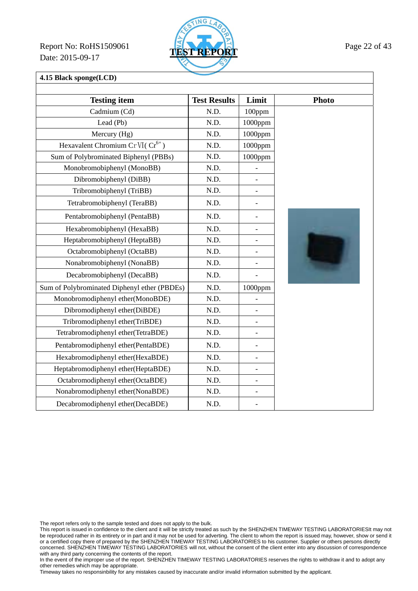Report No: RoHS1509061 **TEST REPORT** Page 22 of 43 Date: 2015-09-17



**4.15 Black sponge(LCD)** 

| <b>Testing item</b>                          | <b>Test Results</b> | Limit                    | <b>Photo</b> |
|----------------------------------------------|---------------------|--------------------------|--------------|
| Cadmium (Cd)                                 | N.D.                | 100ppm                   |              |
| Lead (Pb)                                    | N.D.                | $1000$ ppm               |              |
| Mercury (Hg)                                 | N.D.                | $1000$ ppm               |              |
| Hexavalent Chromium Cr VI( $Cr^{6+}$ )       | N.D.                | 1000ppm                  |              |
| Sum of Polybrominated Biphenyl (PBBs)        | N.D.                | $1000$ ppm               |              |
| Monobromobiphenyl (MonoBB)                   | N.D.                |                          |              |
| Dibromobiphenyl (DiBB)                       | N.D.                |                          |              |
| Tribromobiphenyl (TriBB)                     | N.D.                |                          |              |
| Tetrabromobiphenyl (TeraBB)                  | N.D.                | $\qquad \qquad -$        |              |
| Pentabromobiphenyl (PentaBB)                 | N.D.                |                          |              |
| Hexabromobiphenyl (HexaBB)                   | N.D.                | $\overline{a}$           |              |
| Heptabromobiphenyl (HeptaBB)                 | N.D.                |                          |              |
| Octabromobiphenyl (OctaBB)                   | N.D.                |                          |              |
| Nonabromobiphenyl (NonaBB)                   | N.D.                | $\overline{\phantom{0}}$ |              |
| Decabromobiphenyl (DecaBB)                   | N.D.                |                          |              |
| Sum of Polybrominated Diphenyl ether (PBDEs) | N.D.                | 1000ppm                  |              |
| Monobromodiphenyl ether(MonoBDE)             | N.D.                |                          |              |
| Dibromodiphenyl ether(DiBDE)                 | N.D.                |                          |              |
| Tribromodiphenyl ether(TriBDE)               | N.D.                |                          |              |
| Tetrabromodiphenyl ether(TetraBDE)           | N.D.                | $\overline{\phantom{0}}$ |              |
| Pentabromodiphenyl ether(PentaBDE)           | N.D.                | $\overline{\phantom{0}}$ |              |
| Hexabromodiphenyl ether(HexaBDE)             | N.D.                | $\blacksquare$           |              |
| Heptabromodiphenyl ether(HeptaBDE)           | N.D.                | $\overline{a}$           |              |
| Octabromodiphenyl ether(OctaBDE)             | N.D.                |                          |              |
| Nonabromodiphenyl ether(NonaBDE)             | N.D.                | $\qquad \qquad \Box$     |              |
| Decabromodiphenyl ether(DecaBDE)             | N.D.                |                          |              |

The report refers only to the sample tested and does not apply to the bulk.

This report is issued in confidence to the client and it will be strictly treated as such by the SHENZHEN TIMEWAY TESTING LABORATORIESIt may not be reproduced rather in its entirety or in part and it may not be used for adverting. The client to whom the report is issued may, however, show or send it or a certified copy there of prepared by the SHENZHEN TIMEWAY TESTING LABORATORIES to his customer. Supplier or others persons directly concerned. SHENZHEN TIMEWAY TESTING LABORATORIES will not, without the consent of the client enter into any discussion of correspondence with any third party concerning the contents of the report.

In the event of the improper use of the report. SHENZHEN TIMEWAY TESTING LABORATORIES reserves the rights to withdraw it and to adopt any other remedies which may be appropriate.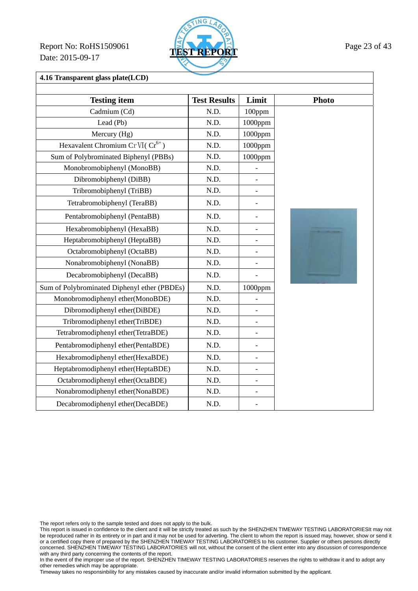Report No: RoHS1509061 **TEST REPORT** Page 23 of 43 Date: 2015-09-17



**4.16 Transparent glass plate(LCD)** 

| <b>Testing item</b>                          | <b>Test Results</b> | Limit                    | <b>Photo</b> |
|----------------------------------------------|---------------------|--------------------------|--------------|
| Cadmium (Cd)                                 | N.D.                | 100ppm                   |              |
| Lead (Pb)                                    | N.D.                | $1000$ ppm               |              |
| Mercury (Hg)                                 | N.D.                | 1000ppm                  |              |
| Hexavalent Chromium Cr VI( $Cr^{6+}$ )       | N.D.                | 1000ppm                  |              |
| Sum of Polybrominated Biphenyl (PBBs)        | N.D.                | 1000ppm                  |              |
| Monobromobiphenyl (MonoBB)                   | N.D.                |                          |              |
| Dibromobiphenyl (DiBB)                       | N.D.                | $\overline{\phantom{0}}$ |              |
| Tribromobiphenyl (TriBB)                     | N.D.                |                          |              |
| Tetrabromobiphenyl (TeraBB)                  | N.D.                |                          |              |
| Pentabromobiphenyl (PentaBB)                 | N.D.                |                          |              |
| Hexabromobiphenyl (HexaBB)                   | N.D.                | $\overline{\phantom{0}}$ |              |
| Heptabromobiphenyl (HeptaBB)                 | N.D.                | $\overline{a}$           |              |
| Octabromobiphenyl (OctaBB)                   | N.D.                | $\overline{a}$           |              |
| Nonabromobiphenyl (NonaBB)                   | N.D.                | $\overline{a}$           |              |
| Decabromobiphenyl (DecaBB)                   | N.D.                |                          |              |
| Sum of Polybrominated Diphenyl ether (PBDEs) | N.D.                | 1000ppm                  |              |
| Monobromodiphenyl ether(MonoBDE)             | N.D.                |                          |              |
| Dibromodiphenyl ether(DiBDE)                 | N.D.                | $\overline{a}$           |              |
| Tribromodiphenyl ether(TriBDE)               | N.D.                | $\overline{\phantom{a}}$ |              |
| Tetrabromodiphenyl ether(TetraBDE)           | N.D.                | $\overline{a}$           |              |
| Pentabromodiphenyl ether(PentaBDE)           | N.D.                | $\overline{a}$           |              |
| Hexabromodiphenyl ether(HexaBDE)             | N.D.                | $\overline{a}$           |              |
| Heptabromodiphenyl ether(HeptaBDE)           | N.D.                | $\overline{\phantom{0}}$ |              |
| Octabromodiphenyl ether(OctaBDE)             | N.D.                | $\overline{a}$           |              |
| Nonabromodiphenyl ether(NonaBDE)             | N.D.                | $\overline{\phantom{0}}$ |              |
| Decabromodiphenyl ether(DecaBDE)             | N.D.                |                          |              |

The report refers only to the sample tested and does not apply to the bulk.

This report is issued in confidence to the client and it will be strictly treated as such by the SHENZHEN TIMEWAY TESTING LABORATORIESIt may not be reproduced rather in its entirety or in part and it may not be used for adverting. The client to whom the report is issued may, however, show or send it or a certified copy there of prepared by the SHENZHEN TIMEWAY TESTING LABORATORIES to his customer. Supplier or others persons directly concerned. SHENZHEN TIMEWAY TESTING LABORATORIES will not, without the consent of the client enter into any discussion of correspondence with any third party concerning the contents of the report.

In the event of the improper use of the report. SHENZHEN TIMEWAY TESTING LABORATORIES reserves the rights to withdraw it and to adopt any other remedies which may be appropriate.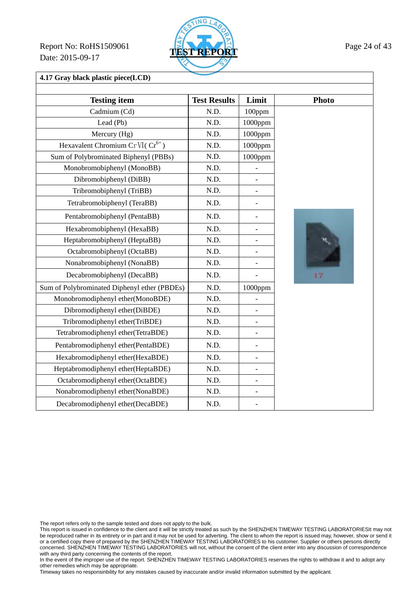Report No: RoHS1509061 **TEST REPORT** Page 24 of 43 Date: 2015-09-17



**4.17 Gray black plastic piece(LCD)** 

| <b>Testing item</b>                          | <b>Test Results</b> | Limit                    | <b>Photo</b> |
|----------------------------------------------|---------------------|--------------------------|--------------|
| Cadmium (Cd)                                 | N.D.                | 100ppm                   |              |
| Lead (Pb)                                    | N.D.                | $1000$ ppm               |              |
| Mercury (Hg)                                 | N.D.                | 1000ppm                  |              |
| Hexavalent Chromium Cr VI(Cr <sup>6+</sup> ) | N.D.                | 1000ppm                  |              |
| Sum of Polybrominated Biphenyl (PBBs)        | N.D.                | 1000ppm                  |              |
| Monobromobiphenyl (MonoBB)                   | N.D.                | $\overline{a}$           |              |
| Dibromobiphenyl (DiBB)                       | N.D.                | $\overline{a}$           |              |
| Tribromobiphenyl (TriBB)                     | N.D.                |                          |              |
| Tetrabromobiphenyl (TeraBB)                  | N.D.                | $\overline{a}$           |              |
| Pentabromobiphenyl (PentaBB)                 | N.D.                | $\overline{a}$           |              |
| Hexabromobiphenyl (HexaBB)                   | N.D.                | $\overline{a}$           |              |
| Heptabromobiphenyl (HeptaBB)                 | N.D.                | -                        |              |
| Octabromobiphenyl (OctaBB)                   | N.D.                |                          |              |
| Nonabromobiphenyl (NonaBB)                   | N.D.                | $\overline{\phantom{0}}$ |              |
| Decabromobiphenyl (DecaBB)                   | N.D.                |                          | 17           |
| Sum of Polybrominated Diphenyl ether (PBDEs) | N.D.                | 1000ppm                  |              |
| Monobromodiphenyl ether(MonoBDE)             | N.D.                |                          |              |
| Dibromodiphenyl ether(DiBDE)                 | N.D.                | $\overline{a}$           |              |
| Tribromodiphenyl ether(TriBDE)               | N.D.                | $\overline{a}$           |              |
| Tetrabromodiphenyl ether(TetraBDE)           | N.D.                | $\overline{a}$           |              |
| Pentabromodiphenyl ether(PentaBDE)           | N.D.                | $\overline{a}$           |              |
| Hexabromodiphenyl ether(HexaBDE)             | N.D.                | $\overline{\phantom{0}}$ |              |
| Heptabromodiphenyl ether(HeptaBDE)           | N.D.                | $\overline{a}$           |              |
| Octabromodiphenyl ether(OctaBDE)             | N.D.                | $\overline{a}$           |              |
| Nonabromodiphenyl ether(NonaBDE)             | N.D.                | $\overline{\phantom{0}}$ |              |
| Decabromodiphenyl ether(DecaBDE)             | N.D.                |                          |              |

The report refers only to the sample tested and does not apply to the bulk.

This report is issued in confidence to the client and it will be strictly treated as such by the SHENZHEN TIMEWAY TESTING LABORATORIESIt may not be reproduced rather in its entirety or in part and it may not be used for adverting. The client to whom the report is issued may, however, show or send it or a certified copy there of prepared by the SHENZHEN TIMEWAY TESTING LABORATORIES to his customer. Supplier or others persons directly concerned. SHENZHEN TIMEWAY TESTING LABORATORIES will not, without the consent of the client enter into any discussion of correspondence with any third party concerning the contents of the report.

In the event of the improper use of the report. SHENZHEN TIMEWAY TESTING LABORATORIES reserves the rights to withdraw it and to adopt any other remedies which may be appropriate.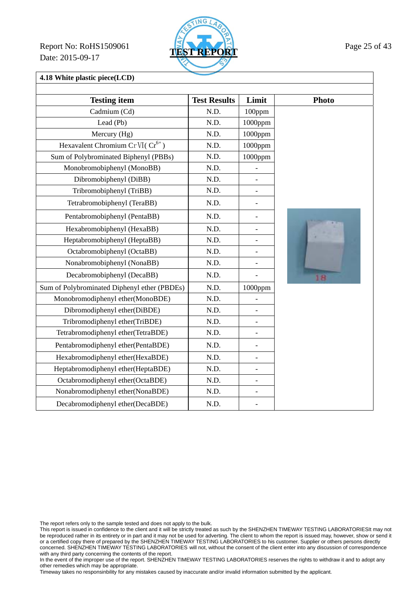Report No: RoHS1509061 **TEST REPORT** Page 25 of 43 Date: 2015-09-17



**4.18 White plastic piece(LCD)** 

| <b>Testing item</b>                          | <b>Test Results</b> | Limit                    | <b>Photo</b> |
|----------------------------------------------|---------------------|--------------------------|--------------|
| Cadmium (Cd)                                 | N.D.                | 100ppm                   |              |
| Lead (Pb)                                    | N.D.                | $1000$ ppm               |              |
| Mercury (Hg)                                 | N.D.                | 1000ppm                  |              |
| Hexavalent Chromium Cr VI( $Cr^{6+}$ )       | N.D.                | 1000ppm                  |              |
| Sum of Polybrominated Biphenyl (PBBs)        | N.D.                | 1000ppm                  |              |
| Monobromobiphenyl (MonoBB)                   | N.D.                |                          |              |
| Dibromobiphenyl (DiBB)                       | N.D.                | $\qquad \qquad -$        |              |
| Tribromobiphenyl (TriBB)                     | N.D.                |                          |              |
| Tetrabromobiphenyl (TeraBB)                  | N.D.                | $\overline{a}$           |              |
| Pentabromobiphenyl (PentaBB)                 | N.D.                |                          |              |
| Hexabromobiphenyl (HexaBB)                   | N.D.                | $\overline{a}$           |              |
| Heptabromobiphenyl (HeptaBB)                 | N.D.                | $\overline{a}$           |              |
| Octabromobiphenyl (OctaBB)                   | N.D.                | $\overline{a}$           |              |
| Nonabromobiphenyl (NonaBB)                   | N.D.                |                          |              |
| Decabromobiphenyl (DecaBB)                   | N.D.                |                          | 18           |
| Sum of Polybrominated Diphenyl ether (PBDEs) | N.D.                | 1000ppm                  |              |
| Monobromodiphenyl ether(MonoBDE)             | N.D.                |                          |              |
| Dibromodiphenyl ether(DiBDE)                 | N.D.                | $\overline{a}$           |              |
| Tribromodiphenyl ether(TriBDE)               | N.D.                | $\overline{\phantom{0}}$ |              |
| Tetrabromodiphenyl ether(TetraBDE)           | N.D.                | $\overline{\phantom{0}}$ |              |
| Pentabromodiphenyl ether(PentaBDE)           | N.D.                | $\overline{a}$           |              |
| Hexabromodiphenyl ether(HexaBDE)             | N.D.                | $\overline{\phantom{0}}$ |              |
| Heptabromodiphenyl ether(HeptaBDE)           | N.D.                | $\overline{a}$           |              |
| Octabromodiphenyl ether(OctaBDE)             | N.D.                | $\overline{\phantom{0}}$ |              |
| Nonabromodiphenyl ether(NonaBDE)             | N.D.                | $\overline{a}$           |              |
| Decabromodiphenyl ether(DecaBDE)             | N.D.                |                          |              |

The report refers only to the sample tested and does not apply to the bulk.

This report is issued in confidence to the client and it will be strictly treated as such by the SHENZHEN TIMEWAY TESTING LABORATORIESIt may not be reproduced rather in its entirety or in part and it may not be used for adverting. The client to whom the report is issued may, however, show or send it or a certified copy there of prepared by the SHENZHEN TIMEWAY TESTING LABORATORIES to his customer. Supplier or others persons directly concerned. SHENZHEN TIMEWAY TESTING LABORATORIES will not, without the consent of the client enter into any discussion of correspondence with any third party concerning the contents of the report.

In the event of the improper use of the report. SHENZHEN TIMEWAY TESTING LABORATORIES reserves the rights to withdraw it and to adopt any other remedies which may be appropriate.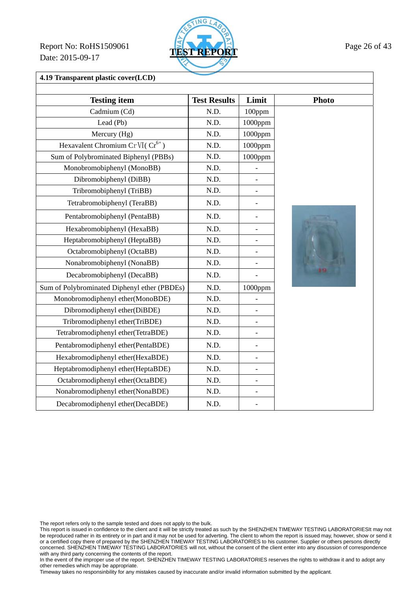Report No: RoHS1509061 **TEST REPORT** Page 26 of 43 Date: 2015-09-17



**4.19 Transparent plastic cover(LCD)** 

| <b>Testing item</b>                          | <b>Test Results</b> | Limit                    | <b>Photo</b> |
|----------------------------------------------|---------------------|--------------------------|--------------|
| Cadmium (Cd)                                 | N.D.                | 100ppm                   |              |
| Lead (Pb)                                    | N.D.                | 1000ppm                  |              |
| Mercury (Hg)                                 | N.D.                | 1000ppm                  |              |
| Hexavalent Chromium Cr VI( $Cr^{6+}$ )       | N.D.                | 1000ppm                  |              |
| Sum of Polybrominated Biphenyl (PBBs)        | N.D.                | 1000ppm                  |              |
| Monobromobiphenyl (MonoBB)                   | N.D.                | $\overline{a}$           |              |
| Dibromobiphenyl (DiBB)                       | N.D.                | $\overline{\phantom{0}}$ |              |
| Tribromobiphenyl (TriBB)                     | N.D.                | $\overline{\phantom{a}}$ |              |
| Tetrabromobiphenyl (TeraBB)                  | N.D.                | $\overline{\phantom{0}}$ |              |
| Pentabromobiphenyl (PentaBB)                 | N.D.                |                          |              |
| Hexabromobiphenyl (HexaBB)                   | N.D.                | $\overline{\phantom{a}}$ |              |
| Heptabromobiphenyl (HeptaBB)                 | N.D.                |                          |              |
| Octabromobiphenyl (OctaBB)                   | N.D.                | $\overline{a}$           |              |
| Nonabromobiphenyl (NonaBB)                   | N.D.                | $\overline{\phantom{0}}$ |              |
| Decabromobiphenyl (DecaBB)                   | N.D.                |                          |              |
| Sum of Polybrominated Diphenyl ether (PBDEs) | N.D.                | 1000ppm                  |              |
| Monobromodiphenyl ether(MonoBDE)             | N.D.                |                          |              |
| Dibromodiphenyl ether(DiBDE)                 | N.D.                | $\overline{a}$           |              |
| Tribromodiphenyl ether(TriBDE)               | N.D.                | $\blacksquare$           |              |
| Tetrabromodiphenyl ether(TetraBDE)           | N.D.                | $\overline{a}$           |              |
| Pentabromodiphenyl ether(PentaBDE)           | N.D.                | $\overline{a}$           |              |
| Hexabromodiphenyl ether(HexaBDE)             | N.D.                | $\overline{\phantom{0}}$ |              |
| Heptabromodiphenyl ether(HeptaBDE)           | N.D.                | $\overline{\phantom{a}}$ |              |
| Octabromodiphenyl ether(OctaBDE)             | N.D.                | $\overline{\phantom{0}}$ |              |
| Nonabromodiphenyl ether(NonaBDE)             | N.D.                | $\overline{\phantom{0}}$ |              |
| Decabromodiphenyl ether(DecaBDE)             | N.D.                |                          |              |

The report refers only to the sample tested and does not apply to the bulk.

This report is issued in confidence to the client and it will be strictly treated as such by the SHENZHEN TIMEWAY TESTING LABORATORIESIt may not be reproduced rather in its entirety or in part and it may not be used for adverting. The client to whom the report is issued may, however, show or send it or a certified copy there of prepared by the SHENZHEN TIMEWAY TESTING LABORATORIES to his customer. Supplier or others persons directly concerned. SHENZHEN TIMEWAY TESTING LABORATORIES will not, without the consent of the client enter into any discussion of correspondence with any third party concerning the contents of the report.

In the event of the improper use of the report. SHENZHEN TIMEWAY TESTING LABORATORIES reserves the rights to withdraw it and to adopt any other remedies which may be appropriate.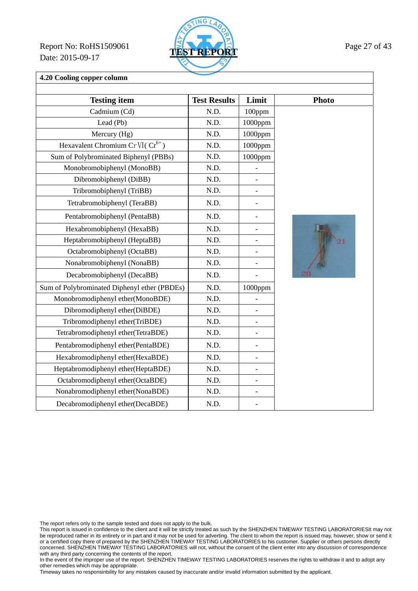Report No: RoHS1509061 **TEST REPORT** Page 27 of 43 Date: 2015-09-17



**4.20 Cooling copper column** 

| <b>Testing item</b>                          | <b>Test Results</b> | Limit                    | <b>Photo</b> |
|----------------------------------------------|---------------------|--------------------------|--------------|
| Cadmium (Cd)                                 | N.D.                | 100ppm                   |              |
| Lead (Pb)                                    | N.D.                | $1000$ ppm               |              |
| Mercury (Hg)                                 | N.D.                | $1000$ ppm               |              |
| Hexavalent Chromium Cr VI( $Cr^{6+}$ )       | N.D.                | 1000ppm                  |              |
| Sum of Polybrominated Biphenyl (PBBs)        | N.D.                | 1000ppm                  |              |
| Monobromobiphenyl (MonoBB)                   | N.D.                | $\overline{a}$           |              |
| Dibromobiphenyl (DiBB)                       | N.D.                |                          |              |
| Tribromobiphenyl (TriBB)                     | N.D.                |                          |              |
| Tetrabromobiphenyl (TeraBB)                  | N.D.                | $\overline{\phantom{a}}$ |              |
| Pentabromobiphenyl (PentaBB)                 | N.D.                |                          |              |
| Hexabromobiphenyl (HexaBB)                   | N.D.                | $\overline{\phantom{0}}$ |              |
| Heptabromobiphenyl (HeptaBB)                 | N.D.                |                          |              |
| Octabromobiphenyl (OctaBB)                   | N.D.                |                          |              |
| Nonabromobiphenyl (NonaBB)                   | N.D.                | $\qquad \qquad -$        |              |
| Decabromobiphenyl (DecaBB)                   | N.D.                |                          |              |
| Sum of Polybrominated Diphenyl ether (PBDEs) | N.D.                | 1000ppm                  |              |
| Monobromodiphenyl ether(MonoBDE)             | N.D.                |                          |              |
| Dibromodiphenyl ether(DiBDE)                 | N.D.                |                          |              |
| Tribromodiphenyl ether(TriBDE)               | N.D.                |                          |              |
| Tetrabromodiphenyl ether(TetraBDE)           | N.D.                | $\overline{\phantom{0}}$ |              |
| Pentabromodiphenyl ether(PentaBDE)           | N.D.                | $\qquad \qquad -$        |              |
| Hexabromodiphenyl ether(HexaBDE)             | N.D.                | $\overline{\phantom{a}}$ |              |
| Heptabromodiphenyl ether(HeptaBDE)           | N.D.                | $\overline{a}$           |              |
| Octabromodiphenyl ether(OctaBDE)             | N.D.                |                          |              |
| Nonabromodiphenyl ether(NonaBDE)             | N.D.                | $\blacksquare$           |              |
| Decabromodiphenyl ether(DecaBDE)             | N.D.                |                          |              |

The report refers only to the sample tested and does not apply to the bulk.

This report is issued in confidence to the client and it will be strictly treated as such by the SHENZHEN TIMEWAY TESTING LABORATORIESIt may not be reproduced rather in its entirety or in part and it may not be used for adverting. The client to whom the report is issued may, however, show or send it or a certified copy there of prepared by the SHENZHEN TIMEWAY TESTING LABORATORIES to his customer. Supplier or others persons directly concerned. SHENZHEN TIMEWAY TESTING LABORATORIES will not, without the consent of the client enter into any discussion of correspondence with any third party concerning the contents of the report.

In the event of the improper use of the report. SHENZHEN TIMEWAY TESTING LABORATORIES reserves the rights to withdraw it and to adopt any other remedies which may be appropriate.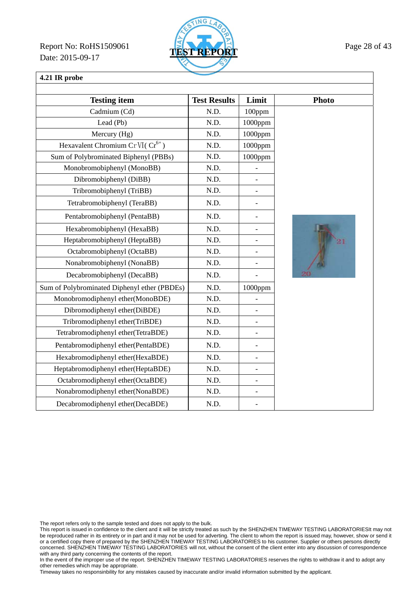Report No: RoHS1509061 **TEST REPORT** Page 28 of 43 Date: 2015-09-17



# **4.21 IR probe**

| <b>Testing item</b>                          | <b>Test Results</b> | Limit                    | Photo |
|----------------------------------------------|---------------------|--------------------------|-------|
| Cadmium (Cd)                                 | N.D.                | 100ppm                   |       |
| Lead (Pb)                                    | N.D.                | 1000ppm                  |       |
| Mercury (Hg)                                 | N.D.                | 1000ppm                  |       |
| Hexavalent Chromium Cr VI( $Cr^{6+}$ )       | N.D.                | 1000ppm                  |       |
| Sum of Polybrominated Biphenyl (PBBs)        | N.D.                | $1000$ ppm               |       |
| Monobromobiphenyl (MonoBB)                   | N.D.                |                          |       |
| Dibromobiphenyl (DiBB)                       | N.D.                |                          |       |
| Tribromobiphenyl (TriBB)                     | N.D.                |                          |       |
| Tetrabromobiphenyl (TeraBB)                  | N.D.                |                          |       |
| Pentabromobiphenyl (PentaBB)                 | N.D.                |                          |       |
| Hexabromobiphenyl (HexaBB)                   | N.D.                | $\overline{a}$           |       |
| Heptabromobiphenyl (HeptaBB)                 | N.D.                |                          |       |
| Octabromobiphenyl (OctaBB)                   | N.D.                |                          |       |
| Nonabromobiphenyl (NonaBB)                   | N.D.                |                          |       |
| Decabromobiphenyl (DecaBB)                   | N.D.                |                          |       |
| Sum of Polybrominated Diphenyl ether (PBDEs) | N.D.                | 1000ppm                  |       |
| Monobromodiphenyl ether(MonoBDE)             | N.D.                |                          |       |
| Dibromodiphenyl ether(DiBDE)                 | N.D.                |                          |       |
| Tribromodiphenyl ether(TriBDE)               | N.D.                | $\overline{a}$           |       |
| Tetrabromodiphenyl ether(TetraBDE)           | N.D.                |                          |       |
| Pentabromodiphenyl ether(PentaBDE)           | N.D.                |                          |       |
| Hexabromodiphenyl ether(HexaBDE)             | N.D.                | $\overline{\phantom{m}}$ |       |
| Heptabromodiphenyl ether(HeptaBDE)           | N.D.                |                          |       |
| Octabromodiphenyl ether(OctaBDE)             | N.D.                |                          |       |
| Nonabromodiphenyl ether(NonaBDE)             | N.D.                | $\overline{\phantom{0}}$ |       |
| Decabromodiphenyl ether(DecaBDE)             | N.D.                |                          |       |

The report refers only to the sample tested and does not apply to the bulk.

This report is issued in confidence to the client and it will be strictly treated as such by the SHENZHEN TIMEWAY TESTING LABORATORIESIt may not be reproduced rather in its entirety or in part and it may not be used for adverting. The client to whom the report is issued may, however, show or send it or a certified copy there of prepared by the SHENZHEN TIMEWAY TESTING LABORATORIES to his customer. Supplier or others persons directly concerned. SHENZHEN TIMEWAY TESTING LABORATORIES will not, without the consent of the client enter into any discussion of correspondence with any third party concerning the contents of the report.

In the event of the improper use of the report. SHENZHEN TIMEWAY TESTING LABORATORIES reserves the rights to withdraw it and to adopt any other remedies which may be appropriate.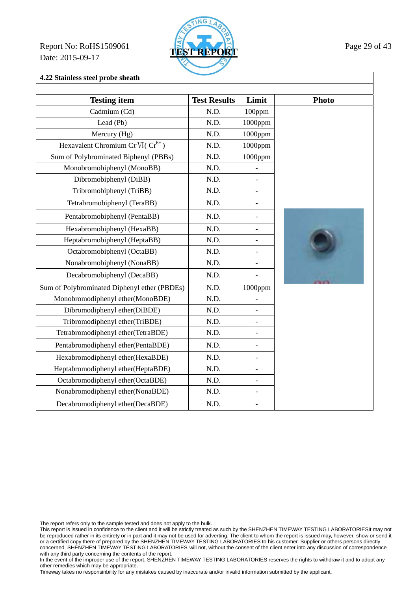Report No: RoHS1509061 **TEST REPORT** Page 29 of 43 Date: 2015-09-17



**4.22 Stainless steel probe sheath** 

| <b>Testing item</b>                          | <b>Test Results</b> | Limit                    | <b>Photo</b> |
|----------------------------------------------|---------------------|--------------------------|--------------|
| Cadmium (Cd)                                 | N.D.                | 100ppm                   |              |
| Lead (Pb)                                    | N.D.                | 1000ppm                  |              |
| Mercury (Hg)                                 | N.D.                | 1000ppm                  |              |
| Hexavalent Chromium Cr VI( $Cr^{6+}$ )       | N.D.                | 1000ppm                  |              |
| Sum of Polybrominated Biphenyl (PBBs)        | N.D.                | 1000ppm                  |              |
| Monobromobiphenyl (MonoBB)                   | N.D.                |                          |              |
| Dibromobiphenyl (DiBB)                       | N.D.                | $\overline{\phantom{0}}$ |              |
| Tribromobiphenyl (TriBB)                     | N.D.                |                          |              |
| Tetrabromobiphenyl (TeraBB)                  | N.D.                | $\overline{a}$           |              |
| Pentabromobiphenyl (PentaBB)                 | N.D.                | $\overline{a}$           |              |
| Hexabromobiphenyl (HexaBB)                   | N.D.                | $\overline{a}$           |              |
| Heptabromobiphenyl (HeptaBB)                 | N.D.                | $\overline{a}$           |              |
| Octabromobiphenyl (OctaBB)                   | N.D.                | $\overline{a}$           |              |
| Nonabromobiphenyl (NonaBB)                   | N.D.                | $\overline{a}$           |              |
| Decabromobiphenyl (DecaBB)                   | N.D.                | $\overline{a}$           |              |
| Sum of Polybrominated Diphenyl ether (PBDEs) | N.D.                | $1000$ ppm               |              |
| Monobromodiphenyl ether(MonoBDE)             | N.D.                |                          |              |
| Dibromodiphenyl ether(DiBDE)                 | N.D.                | $\overline{a}$           |              |
| Tribromodiphenyl ether(TriBDE)               | N.D.                | $\overline{\phantom{0}}$ |              |
| Tetrabromodiphenyl ether(TetraBDE)           | N.D.                |                          |              |
| Pentabromodiphenyl ether(PentaBDE)           | N.D.                | $\overline{a}$           |              |
| Hexabromodiphenyl ether(HexaBDE)             | N.D.                | $\overline{a}$           |              |
| Heptabromodiphenyl ether(HeptaBDE)           | N.D.                |                          |              |
| Octabromodiphenyl ether(OctaBDE)             | N.D.                | $\overline{a}$           |              |
| Nonabromodiphenyl ether(NonaBDE)             | N.D.                | $\overline{\phantom{0}}$ |              |
| Decabromodiphenyl ether(DecaBDE)             | N.D.                | $\overline{a}$           |              |

The report refers only to the sample tested and does not apply to the bulk.

This report is issued in confidence to the client and it will be strictly treated as such by the SHENZHEN TIMEWAY TESTING LABORATORIESIt may not be reproduced rather in its entirety or in part and it may not be used for adverting. The client to whom the report is issued may, however, show or send it or a certified copy there of prepared by the SHENZHEN TIMEWAY TESTING LABORATORIES to his customer. Supplier or others persons directly concerned. SHENZHEN TIMEWAY TESTING LABORATORIES will not, without the consent of the client enter into any discussion of correspondence with any third party concerning the contents of the report.

In the event of the improper use of the report. SHENZHEN TIMEWAY TESTING LABORATORIES reserves the rights to withdraw it and to adopt any other remedies which may be appropriate.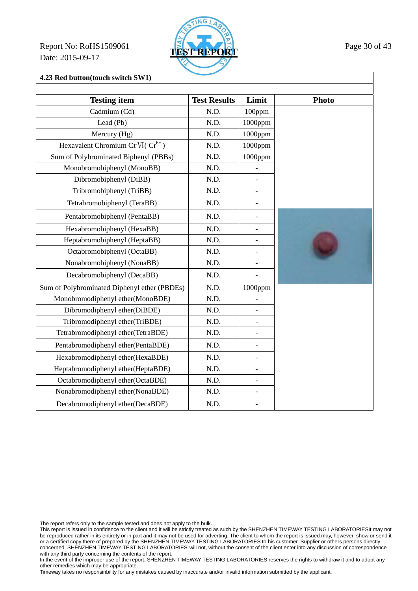Report No: RoHS1509061 **TEST REPORT** Page 30 of 43 Date: 2015-09-17



**4.23 Red button(touch switch SW1)** 

| <b>Testing item</b>                          | <b>Test Results</b> | Limit                    | <b>Photo</b> |
|----------------------------------------------|---------------------|--------------------------|--------------|
| Cadmium (Cd)                                 | N.D.                | 100ppm                   |              |
| Lead (Pb)                                    | N.D.                | 1000ppm                  |              |
| Mercury (Hg)                                 | N.D.                | 1000ppm                  |              |
| Hexavalent Chromium Cr VI( $Cr^{6+}$ )       | N.D.                | 1000ppm                  |              |
| Sum of Polybrominated Biphenyl (PBBs)        | N.D.                | 1000ppm                  |              |
| Monobromobiphenyl (MonoBB)                   | N.D.                |                          |              |
| Dibromobiphenyl (DiBB)                       | N.D.                |                          |              |
| Tribromobiphenyl (TriBB)                     | N.D.                |                          |              |
| Tetrabromobiphenyl (TeraBB)                  | N.D.                | $\overline{a}$           |              |
| Pentabromobiphenyl (PentaBB)                 | N.D.                | $\overline{\phantom{0}}$ |              |
| Hexabromobiphenyl (HexaBB)                   | N.D.                | $\overline{a}$           |              |
| Heptabromobiphenyl (HeptaBB)                 | N.D.                | $\overline{\phantom{0}}$ |              |
| Octabromobiphenyl (OctaBB)                   | N.D.                |                          |              |
| Nonabromobiphenyl (NonaBB)                   | N.D.                | $\overline{a}$           |              |
| Decabromobiphenyl (DecaBB)                   | N.D.                |                          |              |
| Sum of Polybrominated Diphenyl ether (PBDEs) | N.D.                | $1000$ ppm               |              |
| Monobromodiphenyl ether(MonoBDE)             | N.D.                |                          |              |
| Dibromodiphenyl ether(DiBDE)                 | N.D.                |                          |              |
| Tribromodiphenyl ether(TriBDE)               | N.D.                | $\overline{a}$           |              |
| Tetrabromodiphenyl ether(TetraBDE)           | N.D.                |                          |              |
| Pentabromodiphenyl ether(PentaBDE)           | N.D.                |                          |              |
| Hexabromodiphenyl ether(HexaBDE)             | N.D.                | $\overline{a}$           |              |
| Heptabromodiphenyl ether(HeptaBDE)           | N.D.                | $\overline{a}$           |              |
| Octabromodiphenyl ether(OctaBDE)             | N.D.                | $\overline{\phantom{0}}$ |              |
| Nonabromodiphenyl ether(NonaBDE)             | N.D.                | $\overline{\phantom{0}}$ |              |
| Decabromodiphenyl ether(DecaBDE)             | N.D.                |                          |              |

The report refers only to the sample tested and does not apply to the bulk.

This report is issued in confidence to the client and it will be strictly treated as such by the SHENZHEN TIMEWAY TESTING LABORATORIESIt may not be reproduced rather in its entirety or in part and it may not be used for adverting. The client to whom the report is issued may, however, show or send it or a certified copy there of prepared by the SHENZHEN TIMEWAY TESTING LABORATORIES to his customer. Supplier or others persons directly concerned. SHENZHEN TIMEWAY TESTING LABORATORIES will not, without the consent of the client enter into any discussion of correspondence with any third party concerning the contents of the report.

In the event of the improper use of the report. SHENZHEN TIMEWAY TESTING LABORATORIES reserves the rights to withdraw it and to adopt any other remedies which may be appropriate.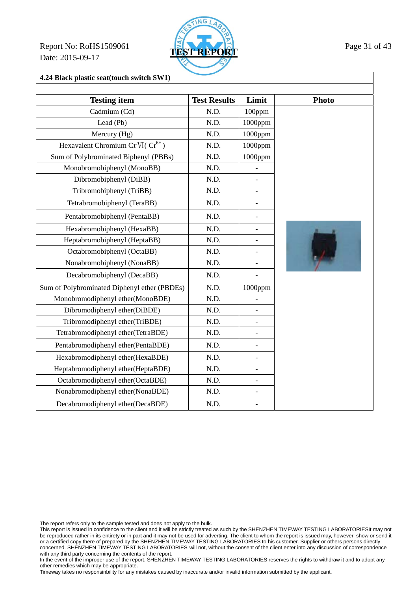Report No: RoHS1509061 **TEST REPORT** Page 31 of 43 Date: 2015-09-17



### **4.24 Black plastic seat(touch switch SW1)**

| <b>Testing item</b>                          | <b>Test Results</b> | Limit                    | <b>Photo</b>   |
|----------------------------------------------|---------------------|--------------------------|----------------|
| Cadmium (Cd)                                 | N.D.                | 100ppm                   |                |
| Lead (Pb)                                    | N.D.                | 1000ppm                  |                |
| Mercury (Hg)                                 | N.D.                | 1000ppm                  |                |
| Hexavalent Chromium Cr VI( $Cr^{6+}$ )       | N.D.                | $1000$ ppm               |                |
| Sum of Polybrominated Biphenyl (PBBs)        | N.D.                | 1000ppm                  |                |
| Monobromobiphenyl (MonoBB)                   | N.D.                |                          |                |
| Dibromobiphenyl (DiBB)                       | N.D.                |                          |                |
| Tribromobiphenyl (TriBB)                     | N.D.                |                          |                |
| Tetrabromobiphenyl (TeraBB)                  | N.D.                | $\overline{a}$           |                |
| Pentabromobiphenyl (PentaBB)                 | N.D.                | $\overline{a}$           |                |
| Hexabromobiphenyl (HexaBB)                   | N.D.                | $\overline{a}$           |                |
| Heptabromobiphenyl (HeptaBB)                 | N.D.                | $\qquad \qquad -$        |                |
| Octabromobiphenyl (OctaBB)                   | N.D.                |                          | $\overline{L}$ |
| Nonabromobiphenyl (NonaBB)                   | N.D.                | $\overline{a}$           |                |
| Decabromobiphenyl (DecaBB)                   | N.D.                |                          |                |
| Sum of Polybrominated Diphenyl ether (PBDEs) | N.D.                | 1000ppm                  |                |
| Monobromodiphenyl ether(MonoBDE)             | N.D.                |                          |                |
| Dibromodiphenyl ether(DiBDE)                 | N.D.                | $\overline{a}$           |                |
| Tribromodiphenyl ether(TriBDE)               | N.D.                |                          |                |
| Tetrabromodiphenyl ether(TetraBDE)           | N.D.                | $\blacksquare$           |                |
| Pentabromodiphenyl ether(PentaBDE)           | N.D.                | $\overline{\phantom{a}}$ |                |
| Hexabromodiphenyl ether(HexaBDE)             | N.D.                | $\overline{\phantom{0}}$ |                |
| Heptabromodiphenyl ether(HeptaBDE)           | N.D.                |                          |                |
| Octabromodiphenyl ether(OctaBDE)             | N.D.                |                          |                |
| Nonabromodiphenyl ether(NonaBDE)             | N.D.                | $\overline{\phantom{a}}$ |                |
| Decabromodiphenyl ether(DecaBDE)             | N.D.                |                          |                |

The report refers only to the sample tested and does not apply to the bulk.

This report is issued in confidence to the client and it will be strictly treated as such by the SHENZHEN TIMEWAY TESTING LABORATORIESIt may not be reproduced rather in its entirety or in part and it may not be used for adverting. The client to whom the report is issued may, however, show or send it or a certified copy there of prepared by the SHENZHEN TIMEWAY TESTING LABORATORIES to his customer. Supplier or others persons directly concerned. SHENZHEN TIMEWAY TESTING LABORATORIES will not, without the consent of the client enter into any discussion of correspondence with any third party concerning the contents of the report.

In the event of the improper use of the report. SHENZHEN TIMEWAY TESTING LABORATORIES reserves the rights to withdraw it and to adopt any other remedies which may be appropriate.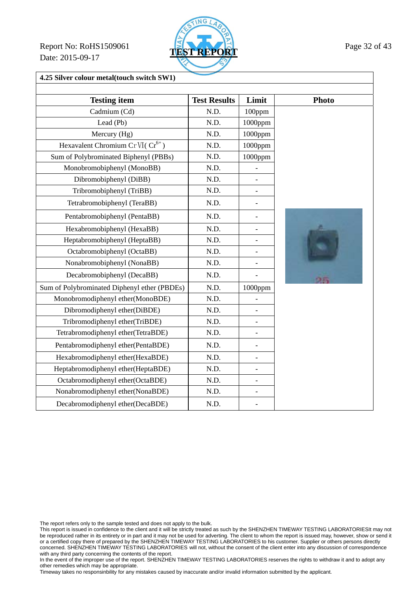Report No: RoHS1509061 **TEST REPORT** Page 32 of 43 Date: 2015-09-17



**4.25 Silver colour metal(touch switch SW1)** 

| <b>Testing item</b>                          | <b>Test Results</b> | Limit                    | <b>Photo</b> |
|----------------------------------------------|---------------------|--------------------------|--------------|
| Cadmium (Cd)                                 | N.D.                | 100ppm                   |              |
| Lead (Pb)                                    | N.D.                | $1000$ ppm               |              |
| Mercury (Hg)                                 | N.D.                | 1000ppm                  |              |
| Hexavalent Chromium Cr VI( $Cr^{6+}$ )       | N.D.                | 1000ppm                  |              |
| Sum of Polybrominated Biphenyl (PBBs)        | N.D.                | 1000ppm                  |              |
| Monobromobiphenyl (MonoBB)                   | N.D.                | $\overline{a}$           |              |
| Dibromobiphenyl (DiBB)                       | N.D.                |                          |              |
| Tribromobiphenyl (TriBB)                     | N.D.                | $\overline{a}$           |              |
| Tetrabromobiphenyl (TeraBB)                  | N.D.                | $\overline{\phantom{0}}$ |              |
| Pentabromobiphenyl (PentaBB)                 | N.D.                | $\overline{\phantom{0}}$ |              |
| Hexabromobiphenyl (HexaBB)                   | N.D.                | $\overline{\phantom{0}}$ |              |
| Heptabromobiphenyl (HeptaBB)                 | N.D.                | $\overline{a}$           |              |
| Octabromobiphenyl (OctaBB)                   | N.D.                | $\overline{\phantom{a}}$ |              |
| Nonabromobiphenyl (NonaBB)                   | N.D.                | $\overline{a}$           |              |
| Decabromobiphenyl (DecaBB)                   | N.D.                | $\overline{a}$           | ms           |
| Sum of Polybrominated Diphenyl ether (PBDEs) | N.D.                | 1000ppm                  |              |
| Monobromodiphenyl ether(MonoBDE)             | N.D.                |                          |              |
| Dibromodiphenyl ether(DiBDE)                 | N.D.                | $\overline{a}$           |              |
| Tribromodiphenyl ether(TriBDE)               | N.D.                | $\overline{\phantom{a}}$ |              |
| Tetrabromodiphenyl ether(TetraBDE)           | N.D.                | $\overline{a}$           |              |
| Pentabromodiphenyl ether(PentaBDE)           | N.D.                | $\overline{a}$           |              |
| Hexabromodiphenyl ether(HexaBDE)             | N.D.                | $\overline{a}$           |              |
| Heptabromodiphenyl ether(HeptaBDE)           | N.D.                | $\overline{\phantom{0}}$ |              |
| Octabromodiphenyl ether(OctaBDE)             | N.D.                | $\overline{a}$           |              |
| Nonabromodiphenyl ether(NonaBDE)             | N.D.                | $\qquad \qquad -$        |              |
| Decabromodiphenyl ether(DecaBDE)             | N.D.                |                          |              |

The report refers only to the sample tested and does not apply to the bulk.

This report is issued in confidence to the client and it will be strictly treated as such by the SHENZHEN TIMEWAY TESTING LABORATORIESIt may not be reproduced rather in its entirety or in part and it may not be used for adverting. The client to whom the report is issued may, however, show or send it or a certified copy there of prepared by the SHENZHEN TIMEWAY TESTING LABORATORIES to his customer. Supplier or others persons directly concerned. SHENZHEN TIMEWAY TESTING LABORATORIES will not, without the consent of the client enter into any discussion of correspondence with any third party concerning the contents of the report.

In the event of the improper use of the report. SHENZHEN TIMEWAY TESTING LABORATORIES reserves the rights to withdraw it and to adopt any other remedies which may be appropriate.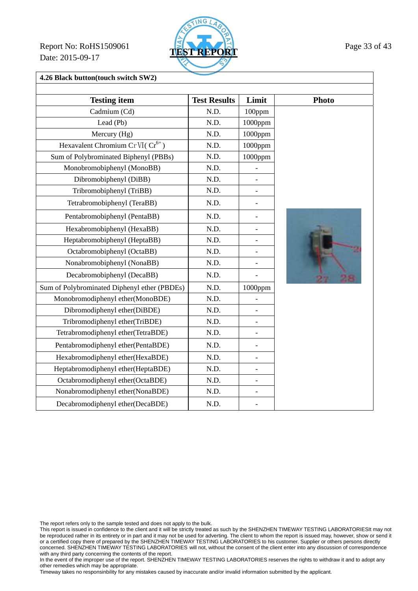Report No: RoHS1509061 **TEST REPORT** Page 33 of 43 Date: 2015-09-17



**4.26 Black button(touch switch SW2)** 

| <b>Testing item</b>                          | <b>Test Results</b> | Limit                    | <b>Photo</b> |
|----------------------------------------------|---------------------|--------------------------|--------------|
| Cadmium (Cd)                                 | N.D.                | 100ppm                   |              |
| Lead (Pb)                                    | N.D.                | 1000ppm                  |              |
| Mercury (Hg)                                 | N.D.                | 1000ppm                  |              |
| Hexavalent Chromium Cr VI( $Cr^{6+}$ )       | N.D.                | 1000ppm                  |              |
| Sum of Polybrominated Biphenyl (PBBs)        | N.D.                | 1000ppm                  |              |
| Monobromobiphenyl (MonoBB)                   | N.D.                |                          |              |
| Dibromobiphenyl (DiBB)                       | N.D.                |                          |              |
| Tribromobiphenyl (TriBB)                     | N.D.                |                          |              |
| Tetrabromobiphenyl (TeraBB)                  | N.D.                |                          |              |
| Pentabromobiphenyl (PentaBB)                 | N.D.                | $\overline{a}$           |              |
| Hexabromobiphenyl (HexaBB)                   | N.D.                | $\overline{a}$           |              |
| Heptabromobiphenyl (HeptaBB)                 | N.D.                | $\overline{a}$           |              |
| Octabromobiphenyl (OctaBB)                   | N.D.                |                          |              |
| Nonabromobiphenyl (NonaBB)                   | N.D.                | $\overline{a}$           |              |
| Decabromobiphenyl (DecaBB)                   | N.D.                |                          |              |
| Sum of Polybrominated Diphenyl ether (PBDEs) | N.D.                | 1000ppm                  |              |
| Monobromodiphenyl ether(MonoBDE)             | N.D.                |                          |              |
| Dibromodiphenyl ether(DiBDE)                 | N.D.                |                          |              |
| Tribromodiphenyl ether(TriBDE)               | N.D.                |                          |              |
| Tetrabromodiphenyl ether(TetraBDE)           | N.D.                |                          |              |
| Pentabromodiphenyl ether(PentaBDE)           | N.D.                |                          |              |
| Hexabromodiphenyl ether(HexaBDE)             | N.D.                |                          |              |
| Heptabromodiphenyl ether(HeptaBDE)           | N.D.                |                          |              |
| Octabromodiphenyl ether(OctaBDE)             | N.D.                |                          |              |
| Nonabromodiphenyl ether(NonaBDE)             | N.D.                | $\overline{\phantom{0}}$ |              |
| Decabromodiphenyl ether(DecaBDE)             | N.D.                |                          |              |

The report refers only to the sample tested and does not apply to the bulk.

This report is issued in confidence to the client and it will be strictly treated as such by the SHENZHEN TIMEWAY TESTING LABORATORIESIt may not be reproduced rather in its entirety or in part and it may not be used for adverting. The client to whom the report is issued may, however, show or send it or a certified copy there of prepared by the SHENZHEN TIMEWAY TESTING LABORATORIES to his customer. Supplier or others persons directly concerned. SHENZHEN TIMEWAY TESTING LABORATORIES will not, without the consent of the client enter into any discussion of correspondence with any third party concerning the contents of the report.

In the event of the improper use of the report. SHENZHEN TIMEWAY TESTING LABORATORIES reserves the rights to withdraw it and to adopt any other remedies which may be appropriate.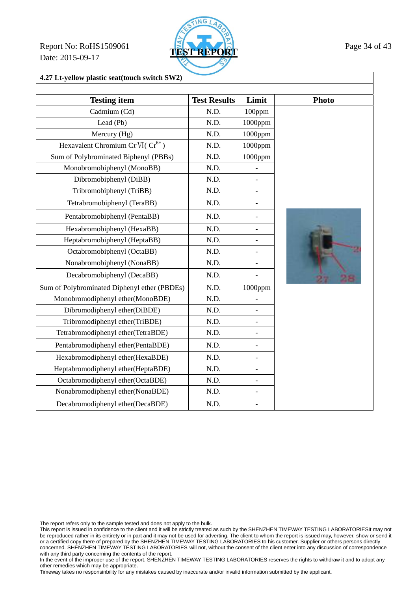Report No: RoHS1509061 **TEST REPORT** Page 34 of 43 Date: 2015-09-17



**4.27 Lt-yellow plastic seat(touch switch SW2)** 

| <b>Testing item</b>                          | <b>Test Results</b> | Limit                    | <b>Photo</b> |
|----------------------------------------------|---------------------|--------------------------|--------------|
| Cadmium (Cd)                                 | N.D.                | 100ppm                   |              |
| Lead (Pb)                                    | N.D.                | $1000$ ppm               |              |
| Mercury (Hg)                                 | N.D.                | 1000ppm                  |              |
| Hexavalent Chromium Cr VI( $Cr^{6+}$ )       | N.D.                | 1000ppm                  |              |
| Sum of Polybrominated Biphenyl (PBBs)        | N.D.                | 1000ppm                  |              |
| Monobromobiphenyl (MonoBB)                   | N.D.                |                          |              |
| Dibromobiphenyl (DiBB)                       | N.D.                |                          |              |
| Tribromobiphenyl (TriBB)                     | N.D.                |                          |              |
| Tetrabromobiphenyl (TeraBB)                  | N.D.                |                          |              |
| Pentabromobiphenyl (PentaBB)                 | N.D.                | $\overline{a}$           |              |
| Hexabromobiphenyl (HexaBB)                   | N.D.                | $\overline{a}$           |              |
| Heptabromobiphenyl (HeptaBB)                 | N.D.                | $\overline{\phantom{a}}$ |              |
| Octabromobiphenyl (OctaBB)                   | N.D.                |                          |              |
| Nonabromobiphenyl (NonaBB)                   | N.D.                | $\overline{a}$           |              |
| Decabromobiphenyl (DecaBB)                   | N.D.                |                          |              |
| Sum of Polybrominated Diphenyl ether (PBDEs) | N.D.                | 1000ppm                  |              |
| Monobromodiphenyl ether(MonoBDE)             | N.D.                |                          |              |
| Dibromodiphenyl ether(DiBDE)                 | N.D.                |                          |              |
| Tribromodiphenyl ether(TriBDE)               | N.D.                |                          |              |
| Tetrabromodiphenyl ether(TetraBDE)           | N.D.                | $\blacksquare$           |              |
| Pentabromodiphenyl ether(PentaBDE)           | N.D.                | $\overline{\phantom{0}}$ |              |
| Hexabromodiphenyl ether(HexaBDE)             | N.D.                | $\overline{\phantom{a}}$ |              |
| Heptabromodiphenyl ether(HeptaBDE)           | N.D.                |                          |              |
| Octabromodiphenyl ether(OctaBDE)             | N.D.                |                          |              |
| Nonabromodiphenyl ether(NonaBDE)             | N.D.                | $\overline{\phantom{0}}$ |              |
| Decabromodiphenyl ether(DecaBDE)             | N.D.                |                          |              |

The report refers only to the sample tested and does not apply to the bulk.

This report is issued in confidence to the client and it will be strictly treated as such by the SHENZHEN TIMEWAY TESTING LABORATORIESIt may not be reproduced rather in its entirety or in part and it may not be used for adverting. The client to whom the report is issued may, however, show or send it or a certified copy there of prepared by the SHENZHEN TIMEWAY TESTING LABORATORIES to his customer. Supplier or others persons directly concerned. SHENZHEN TIMEWAY TESTING LABORATORIES will not, without the consent of the client enter into any discussion of correspondence with any third party concerning the contents of the report.

In the event of the improper use of the report. SHENZHEN TIMEWAY TESTING LABORATORIES reserves the rights to withdraw it and to adopt any other remedies which may be appropriate.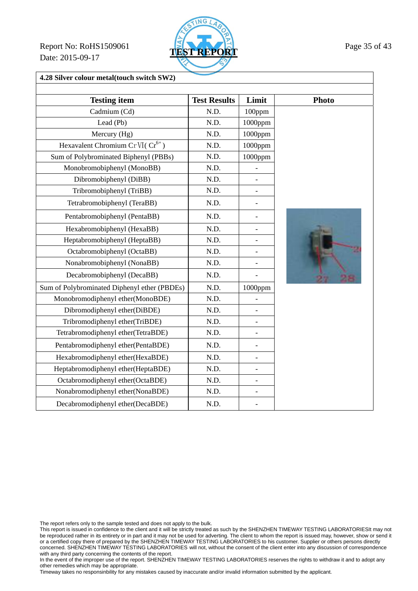Report No: RoHS1509061 **TEST REPORT** Page 35 of 43 Date: 2015-09-17



**4.28 Silver colour metal(touch switch SW2)** 

| <b>Testing item</b>                          | <b>Test Results</b> | Limit                    | <b>Photo</b> |
|----------------------------------------------|---------------------|--------------------------|--------------|
| Cadmium (Cd)                                 | N.D.                | 100ppm                   |              |
| Lead (Pb)                                    | N.D.                | 1000ppm                  |              |
| Mercury (Hg)                                 | N.D.                | 1000ppm                  |              |
| Hexavalent Chromium Cr VI( $Cr^{6+}$ )       | N.D.                | 1000ppm                  |              |
| Sum of Polybrominated Biphenyl (PBBs)        | N.D.                | 1000ppm                  |              |
| Monobromobiphenyl (MonoBB)                   | N.D.                |                          |              |
| Dibromobiphenyl (DiBB)                       | N.D.                |                          |              |
| Tribromobiphenyl (TriBB)                     | N.D.                | $\overline{a}$           |              |
| Tetrabromobiphenyl (TeraBB)                  | N.D.                |                          |              |
| Pentabromobiphenyl (PentaBB)                 | N.D.                | L,                       |              |
| Hexabromobiphenyl (HexaBB)                   | N.D.                | $\overline{a}$           |              |
| Heptabromobiphenyl (HeptaBB)                 | N.D.                | -                        |              |
| Octabromobiphenyl (OctaBB)                   | N.D.                | -                        |              |
| Nonabromobiphenyl (NonaBB)                   | N.D.                | $\overline{a}$           |              |
| Decabromobiphenyl (DecaBB)                   | N.D.                |                          |              |
| Sum of Polybrominated Diphenyl ether (PBDEs) | N.D.                | 1000ppm                  |              |
| Monobromodiphenyl ether(MonoBDE)             | N.D.                |                          |              |
| Dibromodiphenyl ether(DiBDE)                 | N.D.                |                          |              |
| Tribromodiphenyl ether(TriBDE)               | N.D.                | $\overline{\phantom{0}}$ |              |
| Tetrabromodiphenyl ether(TetraBDE)           | N.D.                | $\overline{a}$           |              |
| Pentabromodiphenyl ether(PentaBDE)           | N.D.                | $\overline{a}$           |              |
| Hexabromodiphenyl ether(HexaBDE)             | N.D.                | -                        |              |
| Heptabromodiphenyl ether(HeptaBDE)           | N.D.                | $\overline{a}$           |              |
| Octabromodiphenyl ether(OctaBDE)             | N.D.                | $\overline{a}$           |              |
| Nonabromodiphenyl ether(NonaBDE)             | N.D.                | $\overline{a}$           |              |
| Decabromodiphenyl ether(DecaBDE)             | N.D.                |                          |              |

The report refers only to the sample tested and does not apply to the bulk.

This report is issued in confidence to the client and it will be strictly treated as such by the SHENZHEN TIMEWAY TESTING LABORATORIESIt may not be reproduced rather in its entirety or in part and it may not be used for adverting. The client to whom the report is issued may, however, show or send it or a certified copy there of prepared by the SHENZHEN TIMEWAY TESTING LABORATORIES to his customer. Supplier or others persons directly concerned. SHENZHEN TIMEWAY TESTING LABORATORIES will not, without the consent of the client enter into any discussion of correspondence with any third party concerning the contents of the report.

In the event of the improper use of the report. SHENZHEN TIMEWAY TESTING LABORATORIES reserves the rights to withdraw it and to adopt any other remedies which may be appropriate.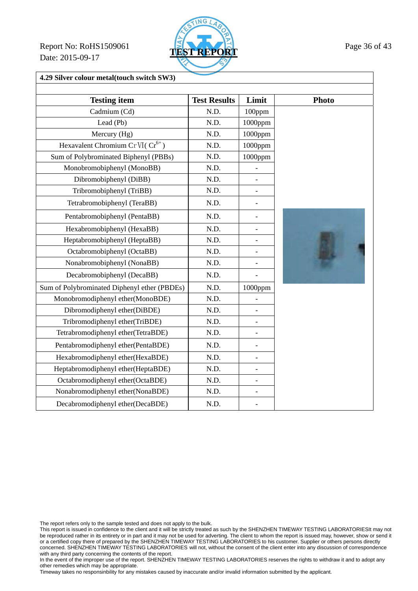Report No: RoHS1509061 **TEST REPORT** Page 36 of 43 Date: 2015-09-17



**4.29 Silver colour metal(touch switch SW3)** 

| <b>Testing item</b>                          | <b>Test Results</b> | Limit                    | <b>Photo</b> |
|----------------------------------------------|---------------------|--------------------------|--------------|
| Cadmium (Cd)                                 | N.D.                | 100ppm                   |              |
| Lead (Pb)                                    | N.D.                | 1000ppm                  |              |
| Mercury (Hg)                                 | N.D.                | 1000ppm                  |              |
| Hexavalent Chromium Cr VI( $Cr^{6+}$ )       | N.D.                | 1000ppm                  |              |
| Sum of Polybrominated Biphenyl (PBBs)        | N.D.                | 1000ppm                  |              |
| Monobromobiphenyl (MonoBB)                   | N.D.                |                          |              |
| Dibromobiphenyl (DiBB)                       | N.D.                |                          |              |
| Tribromobiphenyl (TriBB)                     | N.D.                | $\overline{\phantom{0}}$ |              |
| Tetrabromobiphenyl (TeraBB)                  | N.D.                | $\overline{\phantom{0}}$ |              |
| Pentabromobiphenyl (PentaBB)                 | N.D.                | $\overline{\phantom{a}}$ |              |
| Hexabromobiphenyl (HexaBB)                   | N.D.                | $\overline{a}$           |              |
| Heptabromobiphenyl (HeptaBB)                 | N.D.                | $\overline{\phantom{a}}$ |              |
| Octabromobiphenyl (OctaBB)                   | N.D.                | $\overline{\phantom{0}}$ |              |
| Nonabromobiphenyl (NonaBB)                   | N.D.                | $\overline{\phantom{0}}$ |              |
| Decabromobiphenyl (DecaBB)                   | N.D.                | $\overline{a}$           |              |
| Sum of Polybrominated Diphenyl ether (PBDEs) | N.D.                | $1000$ ppm               |              |
| Monobromodiphenyl ether(MonoBDE)             | N.D.                |                          |              |
| Dibromodiphenyl ether(DiBDE)                 | N.D.                | $\blacksquare$           |              |
| Tribromodiphenyl ether(TriBDE)               | N.D.                | $\overline{a}$           |              |
| Tetrabromodiphenyl ether(TetraBDE)           | N.D.                | $\overline{a}$           |              |
| Pentabromodiphenyl ether(PentaBDE)           | N.D.                | $\overline{\phantom{0}}$ |              |
| Hexabromodiphenyl ether(HexaBDE)             | N.D.                | $\overline{\phantom{a}}$ |              |
| Heptabromodiphenyl ether(HeptaBDE)           | N.D.                |                          |              |
| Octabromodiphenyl ether(OctaBDE)             | N.D.                | $\blacksquare$           |              |
| Nonabromodiphenyl ether(NonaBDE)             | N.D.                | $\overline{\phantom{a}}$ |              |
| Decabromodiphenyl ether(DecaBDE)             | N.D.                |                          |              |

The report refers only to the sample tested and does not apply to the bulk.

This report is issued in confidence to the client and it will be strictly treated as such by the SHENZHEN TIMEWAY TESTING LABORATORIESIt may not be reproduced rather in its entirety or in part and it may not be used for adverting. The client to whom the report is issued may, however, show or send it or a certified copy there of prepared by the SHENZHEN TIMEWAY TESTING LABORATORIES to his customer. Supplier or others persons directly concerned. SHENZHEN TIMEWAY TESTING LABORATORIES will not, without the consent of the client enter into any discussion of correspondence with any third party concerning the contents of the report.

In the event of the improper use of the report. SHENZHEN TIMEWAY TESTING LABORATORIES reserves the rights to withdraw it and to adopt any other remedies which may be appropriate.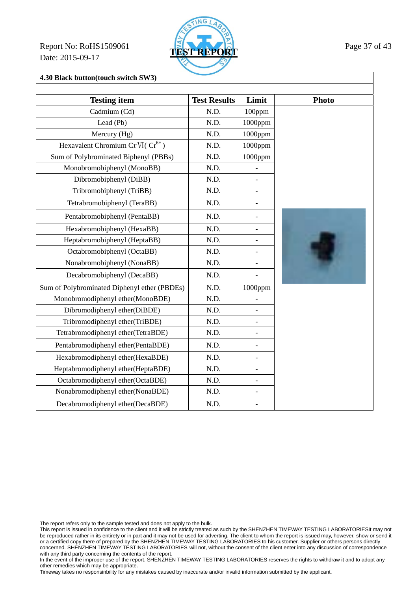Report No: RoHS1509061 **TEST REPORT** Page 37 of 43 Date: 2015-09-17



**4.30 Black button(touch switch SW3)** 

| <b>Testing item</b>                          | <b>Test Results</b> | Limit                    | <b>Photo</b> |
|----------------------------------------------|---------------------|--------------------------|--------------|
| Cadmium (Cd)                                 | N.D.                | 100ppm                   |              |
| Lead (Pb)                                    | N.D.                | 1000ppm                  |              |
|                                              | N.D.                |                          |              |
| Mercury (Hg)                                 |                     | 1000ppm                  |              |
| Hexavalent Chromium Cr VI(Cr <sup>6+</sup> ) | N.D.                | 1000ppm                  |              |
| Sum of Polybrominated Biphenyl (PBBs)        | N.D.                | 1000ppm                  |              |
| Monobromobiphenyl (MonoBB)                   | N.D.                | $\overline{a}$           |              |
| Dibromobiphenyl (DiBB)                       | N.D.                | $\qquad \qquad -$        |              |
| Tribromobiphenyl (TriBB)                     | N.D.                | $\overline{a}$           |              |
| Tetrabromobiphenyl (TeraBB)                  | N.D.                | $\overline{a}$           |              |
| Pentabromobiphenyl (PentaBB)                 | N.D.                | $\overline{a}$           |              |
| Hexabromobiphenyl (HexaBB)                   | N.D.                | $\overline{\phantom{0}}$ |              |
| Heptabromobiphenyl (HeptaBB)                 | N.D.                | $\overline{a}$           |              |
| Octabromobiphenyl (OctaBB)                   | N.D.                | $\overline{a}$           |              |
| Nonabromobiphenyl (NonaBB)                   | N.D.                | $\overline{a}$           |              |
| Decabromobiphenyl (DecaBB)                   | N.D.                | $\overline{a}$           |              |
| Sum of Polybrominated Diphenyl ether (PBDEs) | N.D.                | 1000ppm                  |              |
| Monobromodiphenyl ether(MonoBDE)             | N.D.                |                          |              |
| Dibromodiphenyl ether(DiBDE)                 | N.D.                | $\overline{a}$           |              |
| Tribromodiphenyl ether(TriBDE)               | N.D.                | $\qquad \qquad -$        |              |
| Tetrabromodiphenyl ether(TetraBDE)           | N.D.                | $\overline{a}$           |              |
| Pentabromodiphenyl ether(PentaBDE)           | N.D.                | $\overline{a}$           |              |
| Hexabromodiphenyl ether(HexaBDE)             | N.D.                | $\overline{\phantom{0}}$ |              |
| Heptabromodiphenyl ether(HeptaBDE)           | N.D.                | $\overline{\phantom{0}}$ |              |
| Octabromodiphenyl ether(OctaBDE)             | N.D.                | $\overline{a}$           |              |
| Nonabromodiphenyl ether(NonaBDE)             | N.D.                | $\overline{\phantom{0}}$ |              |
| Decabromodiphenyl ether(DecaBDE)             | N.D.                | $\overline{a}$           |              |

The report refers only to the sample tested and does not apply to the bulk.

This report is issued in confidence to the client and it will be strictly treated as such by the SHENZHEN TIMEWAY TESTING LABORATORIESIt may not be reproduced rather in its entirety or in part and it may not be used for adverting. The client to whom the report is issued may, however, show or send it or a certified copy there of prepared by the SHENZHEN TIMEWAY TESTING LABORATORIES to his customer. Supplier or others persons directly concerned. SHENZHEN TIMEWAY TESTING LABORATORIES will not, without the consent of the client enter into any discussion of correspondence with any third party concerning the contents of the report.

In the event of the improper use of the report. SHENZHEN TIMEWAY TESTING LABORATORIES reserves the rights to withdraw it and to adopt any other remedies which may be appropriate.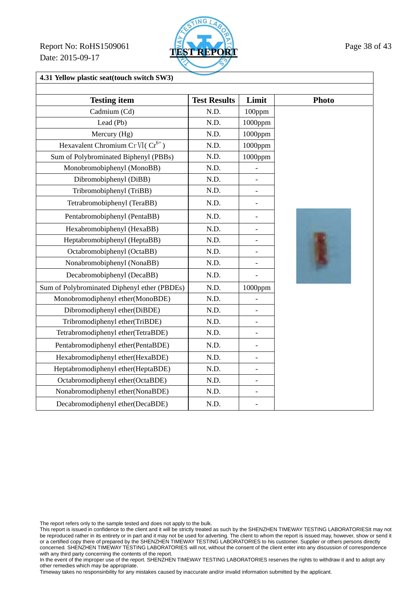Report No: RoHS1509061 **TEST REPORT** Page 38 of 43 Date: 2015-09-17



### **4.31 Yellow plastic seat(touch switch SW3)**

| <b>Testing item</b>                          | <b>Test Results</b> | Limit                    | <b>Photo</b> |
|----------------------------------------------|---------------------|--------------------------|--------------|
| Cadmium (Cd)                                 | N.D.                | $100$ ppm                |              |
| Lead (Pb)                                    | N.D.                | 1000ppm                  |              |
| Mercury (Hg)                                 | N.D.                | 1000ppm                  |              |
| Hexavalent Chromium Cr VI( $Cr^{6+}$ )       | N.D.                | 1000ppm                  |              |
| Sum of Polybrominated Biphenyl (PBBs)        | N.D.                | 1000ppm                  |              |
| Monobromobiphenyl (MonoBB)                   | N.D.                | $\overline{a}$           |              |
| Dibromobiphenyl (DiBB)                       | N.D.                | $\overline{\phantom{0}}$ |              |
| Tribromobiphenyl (TriBB)                     | N.D.                |                          |              |
| Tetrabromobiphenyl (TeraBB)                  | N.D.                | $\overline{a}$           |              |
| Pentabromobiphenyl (PentaBB)                 | N.D.                | $\overline{a}$           |              |
| Hexabromobiphenyl (HexaBB)                   | N.D.                | $\overline{\phantom{0}}$ |              |
| Heptabromobiphenyl (HeptaBB)                 | N.D.                |                          |              |
| Octabromobiphenyl (OctaBB)                   | N.D.                | $\overline{a}$           |              |
| Nonabromobiphenyl (NonaBB)                   | N.D.                | $\overline{\phantom{0}}$ |              |
| Decabromobiphenyl (DecaBB)                   | N.D.                |                          |              |
| Sum of Polybrominated Diphenyl ether (PBDEs) | N.D.                | 1000ppm                  |              |
| Monobromodiphenyl ether(MonoBDE)             | N.D.                |                          |              |
| Dibromodiphenyl ether(DiBDE)                 | N.D.                | $\overline{a}$           |              |
| Tribromodiphenyl ether(TriBDE)               | N.D.                | $\overline{a}$           |              |
| Tetrabromodiphenyl ether(TetraBDE)           | N.D.                | $\overline{a}$           |              |
| Pentabromodiphenyl ether(PentaBDE)           | N.D.                |                          |              |
| Hexabromodiphenyl ether(HexaBDE)             | N.D.                | $\overline{\phantom{0}}$ |              |
| Heptabromodiphenyl ether(HeptaBDE)           | N.D.                | $\overline{a}$           |              |
| Octabromodiphenyl ether(OctaBDE)             | N.D.                | $\overline{\phantom{0}}$ |              |
| Nonabromodiphenyl ether(NonaBDE)             | N.D.                | $\overline{a}$           |              |
| Decabromodiphenyl ether(DecaBDE)             | N.D.                |                          |              |

The report refers only to the sample tested and does not apply to the bulk.

This report is issued in confidence to the client and it will be strictly treated as such by the SHENZHEN TIMEWAY TESTING LABORATORIESIt may not be reproduced rather in its entirety or in part and it may not be used for adverting. The client to whom the report is issued may, however, show or send it or a certified copy there of prepared by the SHENZHEN TIMEWAY TESTING LABORATORIES to his customer. Supplier or others persons directly concerned. SHENZHEN TIMEWAY TESTING LABORATORIES will not, without the consent of the client enter into any discussion of correspondence with any third party concerning the contents of the report.

In the event of the improper use of the report. SHENZHEN TIMEWAY TESTING LABORATORIES reserves the rights to withdraw it and to adopt any other remedies which may be appropriate.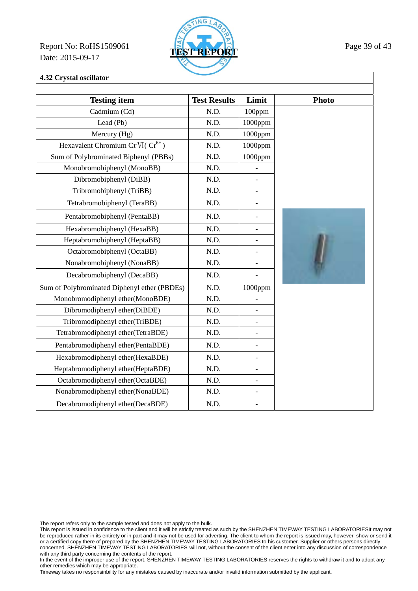Report No: RoHS1509061 **TEST REPORT** Page 39 of 43 Date: 2015-09-17



# **4.32 Crystal oscillator**

| <b>Testing item</b>                          | <b>Test Results</b> | Limit                    | Photo |
|----------------------------------------------|---------------------|--------------------------|-------|
| Cadmium (Cd)                                 | N.D.                | 100ppm                   |       |
| Lead (Pb)                                    | N.D.                | 1000ppm                  |       |
| Mercury (Hg)                                 | N.D.                | 1000ppm                  |       |
| Hexavalent Chromium Cr VI(Cr <sup>6+</sup> ) | N.D.                | $1000$ ppm               |       |
| Sum of Polybrominated Biphenyl (PBBs)        | N.D.                | 1000ppm                  |       |
| Monobromobiphenyl (MonoBB)                   | N.D.                |                          |       |
| Dibromobiphenyl (DiBB)                       | N.D.                | $\overline{\phantom{a}}$ |       |
| Tribromobiphenyl (TriBB)                     | N.D.                | $\overline{\phantom{0}}$ |       |
| Tetrabromobiphenyl (TeraBB)                  | N.D.                | $\overline{\phantom{0}}$ |       |
| Pentabromobiphenyl (PentaBB)                 | N.D.                | $\overline{\phantom{0}}$ |       |
| Hexabromobiphenyl (HexaBB)                   | N.D.                | $\overline{a}$           |       |
| Heptabromobiphenyl (HeptaBB)                 | N.D.                | $\overline{\phantom{a}}$ |       |
| Octabromobiphenyl (OctaBB)                   | N.D.                | $\blacksquare$           |       |
| Nonabromobiphenyl (NonaBB)                   | N.D.                | $\frac{1}{2}$            |       |
| Decabromobiphenyl (DecaBB)                   | N.D.                | $\overline{a}$           |       |
| Sum of Polybrominated Diphenyl ether (PBDEs) | N.D.                | $1000$ ppm               |       |
| Monobromodiphenyl ether(MonoBDE)             | N.D.                |                          |       |
| Dibromodiphenyl ether(DiBDE)                 | N.D.                | $\overline{a}$           |       |
| Tribromodiphenyl ether(TriBDE)               | N.D.                | $\qquad \qquad -$        |       |
| Tetrabromodiphenyl ether(TetraBDE)           | N.D.                |                          |       |
| Pentabromodiphenyl ether(PentaBDE)           | N.D.                | $\overline{\phantom{0}}$ |       |
| Hexabromodiphenyl ether(HexaBDE)             | N.D.                | $\blacksquare$           |       |
| Heptabromodiphenyl ether(HeptaBDE)           | N.D.                | $\overline{\phantom{a}}$ |       |
| Octabromodiphenyl ether(OctaBDE)             | N.D.                | $\overline{\phantom{a}}$ |       |
| Nonabromodiphenyl ether(NonaBDE)             | N.D.                | $\overline{\phantom{a}}$ |       |
| Decabromodiphenyl ether(DecaBDE)             | N.D.                |                          |       |

The report refers only to the sample tested and does not apply to the bulk.

This report is issued in confidence to the client and it will be strictly treated as such by the SHENZHEN TIMEWAY TESTING LABORATORIESIt may not be reproduced rather in its entirety or in part and it may not be used for adverting. The client to whom the report is issued may, however, show or send it or a certified copy there of prepared by the SHENZHEN TIMEWAY TESTING LABORATORIES to his customer. Supplier or others persons directly concerned. SHENZHEN TIMEWAY TESTING LABORATORIES will not, without the consent of the client enter into any discussion of correspondence with any third party concerning the contents of the report.

In the event of the improper use of the report. SHENZHEN TIMEWAY TESTING LABORATORIES reserves the rights to withdraw it and to adopt any other remedies which may be appropriate.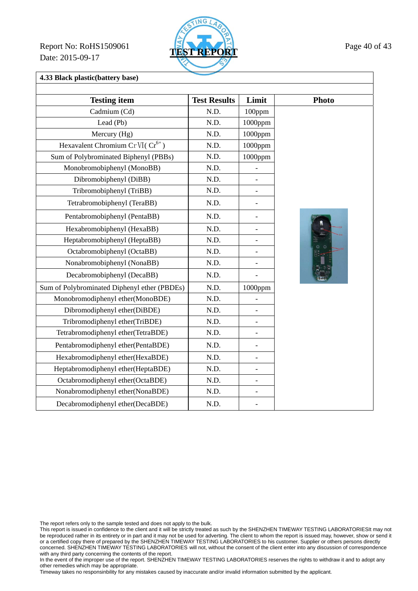Report No: RoHS1509061 **TEST REPORT** Page 40 of 43 Date: 2015-09-17



**4.33 Black plastic(battery base)** 

| <b>Testing item</b>                          | <b>Test Results</b> | Limit                    | <b>Photo</b> |
|----------------------------------------------|---------------------|--------------------------|--------------|
| Cadmium (Cd)                                 | N.D.                | 100ppm                   |              |
| Lead (Pb)                                    | N.D.                | $1000$ ppm               |              |
| Mercury (Hg)                                 | N.D.                | 1000ppm                  |              |
|                                              |                     |                          |              |
| Hexavalent Chromium Cr VI(Cr <sup>6+</sup> ) | N.D.                | 1000ppm                  |              |
| Sum of Polybrominated Biphenyl (PBBs)        | N.D.                | 1000ppm                  |              |
| Monobromobiphenyl (MonoBB)                   | N.D.                |                          |              |
| Dibromobiphenyl (DiBB)                       | N.D.                |                          |              |
| Tribromobiphenyl (TriBB)                     | N.D.                |                          |              |
| Tetrabromobiphenyl (TeraBB)                  | N.D.                | $\overline{a}$           |              |
| Pentabromobiphenyl (PentaBB)                 | N.D.                | $\overline{a}$           |              |
| Hexabromobiphenyl (HexaBB)                   | N.D.                | $\overline{\phantom{0}}$ |              |
| Heptabromobiphenyl (HeptaBB)                 | N.D.                |                          |              |
| Octabromobiphenyl (OctaBB)                   | N.D.                |                          |              |
| Nonabromobiphenyl (NonaBB)                   | N.D.                | $\overline{a}$           |              |
| Decabromobiphenyl (DecaBB)                   | N.D.                |                          |              |
| Sum of Polybrominated Diphenyl ether (PBDEs) | N.D.                | 1000ppm                  |              |
| Monobromodiphenyl ether(MonoBDE)             | N.D.                |                          |              |
| Dibromodiphenyl ether(DiBDE)                 | N.D.                |                          |              |
| Tribromodiphenyl ether(TriBDE)               | N.D.                |                          |              |
| Tetrabromodiphenyl ether(TetraBDE)           | N.D.                | $\qquad \qquad -$        |              |
| Pentabromodiphenyl ether(PentaBDE)           | N.D.                |                          |              |
| Hexabromodiphenyl ether(HexaBDE)             | N.D.                | $\overline{a}$           |              |
| Heptabromodiphenyl ether(HeptaBDE)           | N.D.                |                          |              |
| Octabromodiphenyl ether(OctaBDE)             | N.D.                |                          |              |
| Nonabromodiphenyl ether(NonaBDE)             | N.D.                | $\qquad \qquad -$        |              |
| Decabromodiphenyl ether(DecaBDE)             | N.D.                |                          |              |

The report refers only to the sample tested and does not apply to the bulk.

This report is issued in confidence to the client and it will be strictly treated as such by the SHENZHEN TIMEWAY TESTING LABORATORIESIt may not be reproduced rather in its entirety or in part and it may not be used for adverting. The client to whom the report is issued may, however, show or send it or a certified copy there of prepared by the SHENZHEN TIMEWAY TESTING LABORATORIES to his customer. Supplier or others persons directly concerned. SHENZHEN TIMEWAY TESTING LABORATORIES will not, without the consent of the client enter into any discussion of correspondence with any third party concerning the contents of the report.

In the event of the improper use of the report. SHENZHEN TIMEWAY TESTING LABORATORIES reserves the rights to withdraw it and to adopt any other remedies which may be appropriate.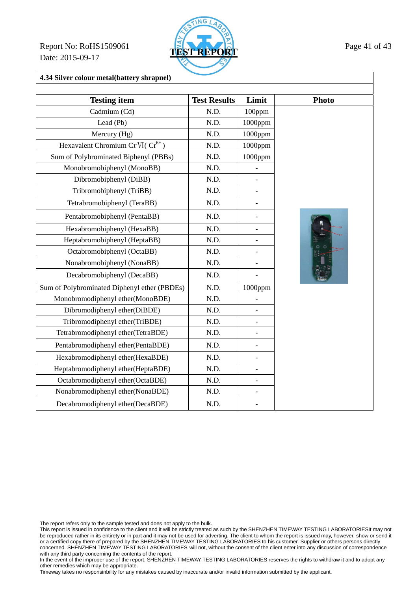Report No: RoHS1509061 **TEST REPORT** Page 41 of 43 Date: 2015-09-17



#### **4.34 Silver colour metal(battery shrapnel)**

| <b>Testing item</b>                          | <b>Test Results</b> | Limit                    | <b>Photo</b> |
|----------------------------------------------|---------------------|--------------------------|--------------|
| Cadmium (Cd)                                 | N.D.                | 100ppm                   |              |
| Lead (Pb)                                    | N.D.                | 1000ppm                  |              |
| Mercury (Hg)                                 | N.D.                | 1000ppm                  |              |
| Hexavalent Chromium Cr VI( $Cr^{6+}$ )       | N.D.                | $1000$ ppm               |              |
| Sum of Polybrominated Biphenyl (PBBs)        | N.D.                | $1000$ ppm               |              |
| Monobromobiphenyl (MonoBB)                   | N.D.                | $\overline{\phantom{0}}$ |              |
| Dibromobiphenyl (DiBB)                       | N.D.                | $\overline{a}$           |              |
| Tribromobiphenyl (TriBB)                     | N.D.                | $\overline{\phantom{a}}$ |              |
| Tetrabromobiphenyl (TeraBB)                  | N.D.                | $\overline{a}$           |              |
| Pentabromobiphenyl (PentaBB)                 | N.D.                | $\overline{a}$           |              |
| Hexabromobiphenyl (HexaBB)                   | N.D.                | $\overline{a}$           | ш            |
| Heptabromobiphenyl (HeptaBB)                 | N.D.                | $\overline{\phantom{0}}$ |              |
| Octabromobiphenyl (OctaBB)                   | N.D.                |                          |              |
| Nonabromobiphenyl (NonaBB)                   | N.D.                | $\qquad \qquad -$        |              |
| Decabromobiphenyl (DecaBB)                   | N.D.                |                          |              |
| Sum of Polybrominated Diphenyl ether (PBDEs) | N.D.                | 1000ppm                  |              |
| Monobromodiphenyl ether(MonoBDE)             | N.D.                |                          |              |
| Dibromodiphenyl ether(DiBDE)                 | N.D.                | $\overline{a}$           |              |
| Tribromodiphenyl ether(TriBDE)               | N.D.                | $\overline{a}$           |              |
| Tetrabromodiphenyl ether(TetraBDE)           | N.D.                | $\overline{a}$           |              |
| Pentabromodiphenyl ether(PentaBDE)           | N.D.                | $\overline{\phantom{a}}$ |              |
| Hexabromodiphenyl ether(HexaBDE)             | N.D.                | $\overline{\phantom{a}}$ |              |
| Heptabromodiphenyl ether(HeptaBDE)           | N.D.                | $\overline{a}$           |              |
| Octabromodiphenyl ether(OctaBDE)             | N.D.                | $\blacksquare$           |              |
| Nonabromodiphenyl ether(NonaBDE)             | N.D.                | $\overline{\phantom{a}}$ |              |
| Decabromodiphenyl ether(DecaBDE)             | N.D.                |                          |              |

The report refers only to the sample tested and does not apply to the bulk.

This report is issued in confidence to the client and it will be strictly treated as such by the SHENZHEN TIMEWAY TESTING LABORATORIESIt may not be reproduced rather in its entirety or in part and it may not be used for adverting. The client to whom the report is issued may, however, show or send it or a certified copy there of prepared by the SHENZHEN TIMEWAY TESTING LABORATORIES to his customer. Supplier or others persons directly concerned. SHENZHEN TIMEWAY TESTING LABORATORIES will not, without the consent of the client enter into any discussion of correspondence with any third party concerning the contents of the report.

In the event of the improper use of the report. SHENZHEN TIMEWAY TESTING LABORATORIES reserves the rights to withdraw it and to adopt any other remedies which may be appropriate.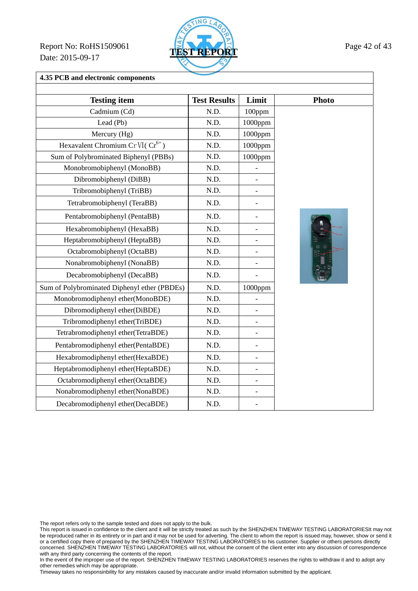Report No: RoHS1509061 **TEST REPORT** Page 42 of 43 Date: 2015-09-17



**4.35 PCB and electronic components** 

| <b>Testing item</b>                          | <b>Test Results</b> | Limit                    | <b>Photo</b> |
|----------------------------------------------|---------------------|--------------------------|--------------|
| Cadmium (Cd)                                 | N.D.                | 100ppm                   |              |
| Lead (Pb)                                    | N.D.                | 1000ppm                  |              |
| Mercury (Hg)                                 | N.D.                | 1000ppm                  |              |
| Hexavalent Chromium Cr VI(Cr <sup>6+</sup> ) | N.D.                | 1000ppm                  |              |
| Sum of Polybrominated Biphenyl (PBBs)        | N.D.                | $1000$ ppm               |              |
| Monobromobiphenyl (MonoBB)                   | N.D.                |                          |              |
| Dibromobiphenyl (DiBB)                       | N.D.                | $\overline{\phantom{0}}$ |              |
| Tribromobiphenyl (TriBB)                     | N.D.                | $\overline{a}$           |              |
| Tetrabromobiphenyl (TeraBB)                  | N.D.                | $\overline{\phantom{0}}$ |              |
| Pentabromobiphenyl (PentaBB)                 | N.D.                |                          |              |
| Hexabromobiphenyl (HexaBB)                   | N.D.                | $\overline{\phantom{0}}$ |              |
| Heptabromobiphenyl (HeptaBB)                 | N.D.                |                          |              |
| Octabromobiphenyl (OctaBB)                   | N.D.                | $\overline{a}$           |              |
| Nonabromobiphenyl (NonaBB)                   | N.D.                |                          |              |
| Decabromobiphenyl (DecaBB)                   | N.D.                |                          |              |
| Sum of Polybrominated Diphenyl ether (PBDEs) | N.D.                | 1000ppm                  |              |
| Monobromodiphenyl ether(MonoBDE)             | N.D.                |                          |              |
| Dibromodiphenyl ether(DiBDE)                 | N.D.                | $\overline{a}$           |              |
| Tribromodiphenyl ether(TriBDE)               | N.D.                | $\overline{a}$           |              |
| Tetrabromodiphenyl ether(TetraBDE)           | N.D.                | $\overline{a}$           |              |
| Pentabromodiphenyl ether(PentaBDE)           | N.D.                |                          |              |
| Hexabromodiphenyl ether(HexaBDE)             | N.D.                | $\overline{\phantom{0}}$ |              |
| Heptabromodiphenyl ether(HeptaBDE)           | N.D.                | $\overline{\phantom{0}}$ |              |
| Octabromodiphenyl ether(OctaBDE)             | N.D.                | $\overline{a}$           |              |
| Nonabromodiphenyl ether(NonaBDE)             | N.D.                | $\overline{\phantom{0}}$ |              |
| Decabromodiphenyl ether(DecaBDE)             | N.D.                |                          |              |

The report refers only to the sample tested and does not apply to the bulk.

This report is issued in confidence to the client and it will be strictly treated as such by the SHENZHEN TIMEWAY TESTING LABORATORIESIt may not be reproduced rather in its entirety or in part and it may not be used for adverting. The client to whom the report is issued may, however, show or send it or a certified copy there of prepared by the SHENZHEN TIMEWAY TESTING LABORATORIES to his customer. Supplier or others persons directly concerned. SHENZHEN TIMEWAY TESTING LABORATORIES will not, without the consent of the client enter into any discussion of correspondence with any third party concerning the contents of the report.

In the event of the improper use of the report. SHENZHEN TIMEWAY TESTING LABORATORIES reserves the rights to withdraw it and to adopt any other remedies which may be appropriate.